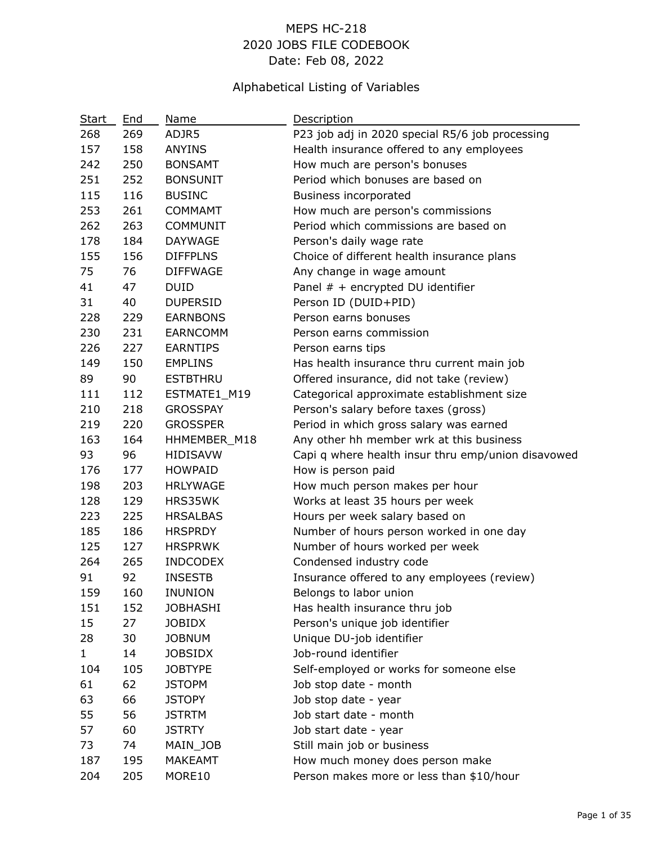# MEPS HC-218 2020 JOBS FILE CODEBOOK Date: Feb 08, 2022

# Alphabetical Listing of Variables

| Start        | End | Name            | Description                                        |
|--------------|-----|-----------------|----------------------------------------------------|
| 268          | 269 | ADJR5           | P23 job adj in 2020 special R5/6 job processing    |
| 157          | 158 | <b>ANYINS</b>   | Health insurance offered to any employees          |
| 242          | 250 | <b>BONSAMT</b>  | How much are person's bonuses                      |
| 251          | 252 | <b>BONSUNIT</b> | Period which bonuses are based on                  |
| 115          | 116 | <b>BUSINC</b>   | <b>Business incorporated</b>                       |
| 253          | 261 | <b>COMMAMT</b>  | How much are person's commissions                  |
| 262          | 263 | <b>COMMUNIT</b> | Period which commissions are based on              |
| 178          | 184 | <b>DAYWAGE</b>  | Person's daily wage rate                           |
| 155          | 156 | <b>DIFFPLNS</b> | Choice of different health insurance plans         |
| 75           | 76  | <b>DIFFWAGE</b> | Any change in wage amount                          |
| 41           | 47  | <b>DUID</b>     | Panel $#$ + encrypted DU identifier                |
| 31           | 40  | <b>DUPERSID</b> | Person ID (DUID+PID)                               |
| 228          | 229 | <b>EARNBONS</b> | Person earns bonuses                               |
| 230          | 231 | <b>EARNCOMM</b> | Person earns commission                            |
| 226          | 227 | <b>EARNTIPS</b> | Person earns tips                                  |
| 149          | 150 | <b>EMPLINS</b>  | Has health insurance thru current main job         |
| 89           | 90  | <b>ESTBTHRU</b> | Offered insurance, did not take (review)           |
| 111          | 112 | ESTMATE1_M19    | Categorical approximate establishment size         |
| 210          | 218 | <b>GROSSPAY</b> | Person's salary before taxes (gross)               |
| 219          | 220 | <b>GROSSPER</b> | Period in which gross salary was earned            |
| 163          | 164 | HHMEMBER_M18    | Any other hh member wrk at this business           |
| 93           | 96  | <b>HIDISAVW</b> | Capi q where health insur thru emp/union disavowed |
| 176          | 177 | <b>HOWPAID</b>  | How is person paid                                 |
| 198          | 203 | <b>HRLYWAGE</b> | How much person makes per hour                     |
| 128          | 129 | HRS35WK         | Works at least 35 hours per week                   |
| 223          | 225 | <b>HRSALBAS</b> | Hours per week salary based on                     |
| 185          | 186 | <b>HRSPRDY</b>  | Number of hours person worked in one day           |
| 125          | 127 | <b>HRSPRWK</b>  | Number of hours worked per week                    |
| 264          | 265 | <b>INDCODEX</b> | Condensed industry code                            |
| 91           | 92  | <b>INSESTB</b>  | Insurance offered to any employees (review)        |
| 159          | 160 | <b>INUNION</b>  | Belongs to labor union                             |
| 151          | 152 | <b>JOBHASHI</b> | Has health insurance thru job                      |
| 15           | 27  | <b>JOBIDX</b>   | Person's unique job identifier                     |
| 28           | 30  | <b>JOBNUM</b>   | Unique DU-job identifier                           |
| $\mathbf{1}$ | 14  | <b>JOBSIDX</b>  | Job-round identifier                               |
| 104          | 105 | <b>JOBTYPE</b>  | Self-employed or works for someone else            |
| 61           | 62  | <b>JSTOPM</b>   | Job stop date - month                              |
| 63           | 66  | <b>JSTOPY</b>   | Job stop date - year                               |
| 55           | 56  | <b>JSTRTM</b>   | Job start date - month                             |
| 57           | 60  | <b>JSTRTY</b>   | Job start date - year                              |
| 73           | 74  | MAIN_JOB        | Still main job or business                         |
| 187          | 195 | MAKEAMT         | How much money does person make                    |
| 204          | 205 | MORE10          | Person makes more or less than \$10/hour           |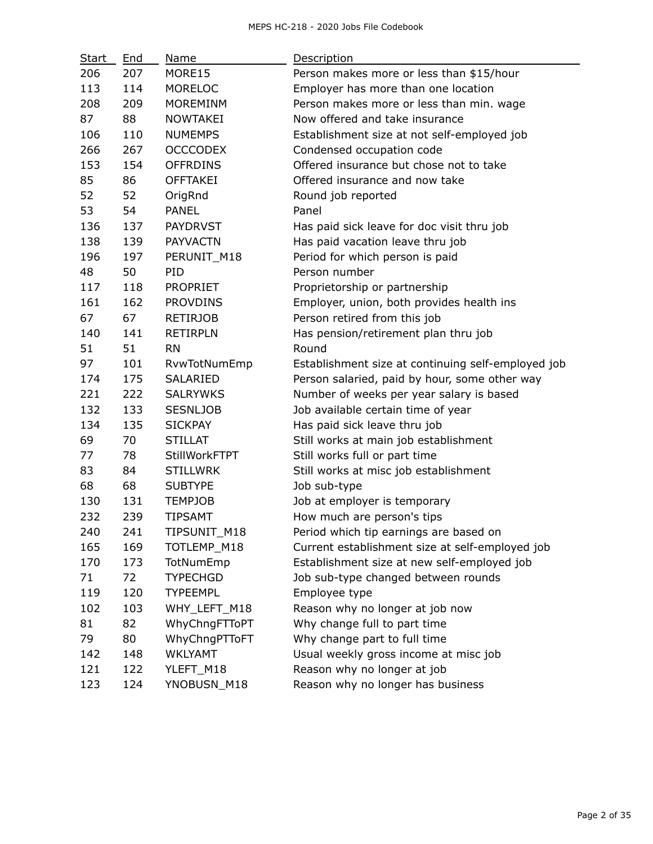| <b>Start</b> | End | Name                 | Description                                        |
|--------------|-----|----------------------|----------------------------------------------------|
| 206          | 207 | MORE15               | Person makes more or less than \$15/hour           |
| 113          | 114 | <b>MORELOC</b>       | Employer has more than one location                |
| 208          | 209 | <b>MOREMINM</b>      | Person makes more or less than min. wage           |
| 87           | 88  | <b>NOWTAKEI</b>      | Now offered and take insurance                     |
| 106          | 110 | <b>NUMEMPS</b>       | Establishment size at not self-employed job        |
| 266          | 267 | <b>OCCCODEX</b>      | Condensed occupation code                          |
| 153          | 154 | <b>OFFRDINS</b>      | Offered insurance but chose not to take            |
| 85           | 86  | <b>OFFTAKEI</b>      | Offered insurance and now take                     |
| 52           | 52  | OrigRnd              | Round job reported                                 |
| 53           | 54  | <b>PANEL</b>         | Panel                                              |
| 136          | 137 | <b>PAYDRVST</b>      | Has paid sick leave for doc visit thru job         |
| 138          | 139 | <b>PAYVACTN</b>      | Has paid vacation leave thru job                   |
| 196          | 197 | PERUNIT_M18          | Period for which person is paid                    |
| 48           | 50  | PID                  | Person number                                      |
| 117          | 118 | <b>PROPRIET</b>      | Proprietorship or partnership                      |
| 161          | 162 | <b>PROVDINS</b>      | Employer, union, both provides health ins          |
| 67           | 67  | <b>RETIRJOB</b>      | Person retired from this job                       |
| 140          | 141 | <b>RETIRPLN</b>      | Has pension/retirement plan thru job               |
| 51           | 51  | <b>RN</b>            | Round                                              |
| 97           | 101 | RvwTotNumEmp         | Establishment size at continuing self-employed job |
| 174          | 175 | SALARIED             | Person salaried, paid by hour, some other way      |
| 221          | 222 | <b>SALRYWKS</b>      | Number of weeks per year salary is based           |
| 132          | 133 | <b>SESNLJOB</b>      | Job available certain time of year                 |
| 134          | 135 | <b>SICKPAY</b>       | Has paid sick leave thru job                       |
| 69           | 70  | <b>STILLAT</b>       | Still works at main job establishment              |
| 77           | 78  | <b>StillWorkFTPT</b> | Still works full or part time                      |
| 83           | 84  | <b>STILLWRK</b>      | Still works at misc job establishment              |
| 68           | 68  | <b>SUBTYPE</b>       | Job sub-type                                       |
| 130          | 131 | <b>TEMPJOB</b>       | Job at employer is temporary                       |
| 232          | 239 | <b>TIPSAMT</b>       | How much are person's tips                         |
| 240          | 241 | TIPSUNIT_M18         | Period which tip earnings are based on             |
| 165          | 169 | TOTLEMP_M18          | Current establishment size at self-employed job    |
| 170          | 173 | TotNumEmp            | Establishment size at new self-employed job        |
| 71           | 72  | <b>TYPECHGD</b>      | Job sub-type changed between rounds                |
| 119          | 120 | <b>TYPEEMPL</b>      | Employee type                                      |
| 102          | 103 | WHY_LEFT_M18         | Reason why no longer at job now                    |
| 81           | 82  | WhyChngFTToPT        | Why change full to part time                       |
| 79           | 80  | WhyChngPTToFT        | Why change part to full time                       |
| 142          | 148 | <b>WKLYAMT</b>       | Usual weekly gross income at misc job              |
| 121          | 122 | YLEFT_M18            | Reason why no longer at job                        |
| 123          | 124 | YNOBUSN_M18          | Reason why no longer has business                  |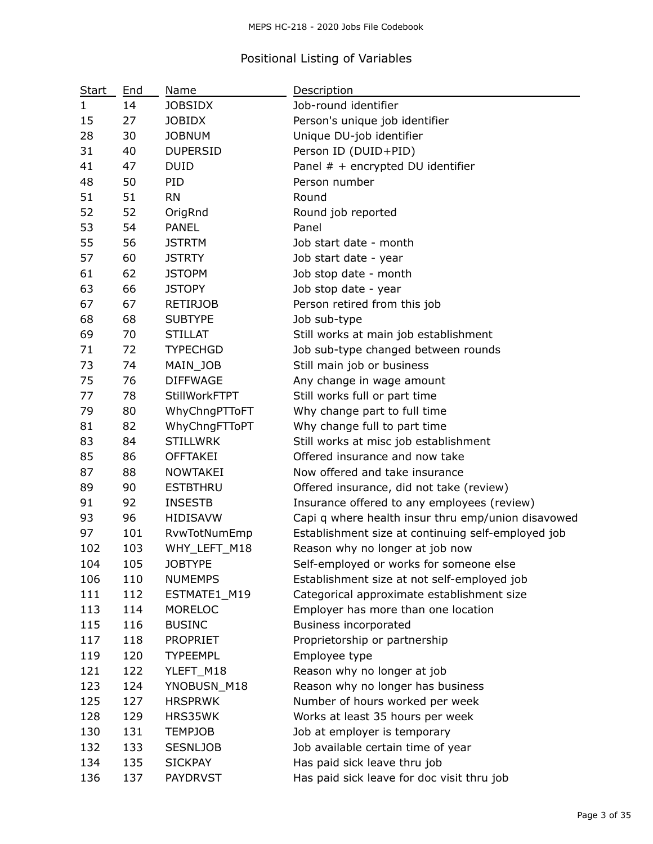# Positional Listing of Variables

| <b>Start</b> | End | Name                 | Description                                        |
|--------------|-----|----------------------|----------------------------------------------------|
| 1            | 14  | <b>JOBSIDX</b>       | Job-round identifier                               |
| 15           | 27  | <b>JOBIDX</b>        | Person's unique job identifier                     |
| 28           | 30  | <b>JOBNUM</b>        | Unique DU-job identifier                           |
| 31           | 40  | <b>DUPERSID</b>      | Person ID (DUID+PID)                               |
| 41           | 47  | <b>DUID</b>          | Panel # + encrypted DU identifier                  |
| 48           | 50  | PID                  | Person number                                      |
| 51           | 51  | <b>RN</b>            | Round                                              |
| 52           | 52  | OrigRnd              | Round job reported                                 |
| 53           | 54  | <b>PANEL</b>         | Panel                                              |
| 55           | 56  | <b>JSTRTM</b>        | Job start date - month                             |
| 57           | 60  | <b>JSTRTY</b>        | Job start date - year                              |
| 61           | 62  | <b>JSTOPM</b>        | Job stop date - month                              |
| 63           | 66  | <b>JSTOPY</b>        | Job stop date - year                               |
| 67           | 67  | <b>RETIRJOB</b>      | Person retired from this job                       |
| 68           | 68  | <b>SUBTYPE</b>       | Job sub-type                                       |
| 69           | 70  | <b>STILLAT</b>       | Still works at main job establishment              |
| 71           | 72  | <b>TYPECHGD</b>      | Job sub-type changed between rounds                |
| 73           | 74  | MAIN_JOB             | Still main job or business                         |
| 75           | 76  | <b>DIFFWAGE</b>      | Any change in wage amount                          |
| 77           | 78  | <b>StillWorkFTPT</b> | Still works full or part time                      |
| 79           | 80  | WhyChngPTToFT        | Why change part to full time                       |
| 81           | 82  | WhyChngFTToPT        | Why change full to part time                       |
| 83           | 84  | <b>STILLWRK</b>      | Still works at misc job establishment              |
| 85           | 86  | <b>OFFTAKEI</b>      | Offered insurance and now take                     |
| 87           | 88  | <b>NOWTAKEI</b>      | Now offered and take insurance                     |
| 89           | 90  | <b>ESTBTHRU</b>      | Offered insurance, did not take (review)           |
| 91           | 92  | <b>INSESTB</b>       | Insurance offered to any employees (review)        |
| 93           | 96  | <b>HIDISAVW</b>      | Capi q where health insur thru emp/union disavowed |
| 97           | 101 | RvwTotNumEmp         | Establishment size at continuing self-employed job |
| 102          | 103 | WHY_LEFT_M18         | Reason why no longer at job now                    |
| 104          | 105 | <b>JOBTYPE</b>       | Self-employed or works for someone else            |
| 106          | 110 | <b>NUMEMPS</b>       | Establishment size at not self-employed job        |
| 111          | 112 | ESTMATE1_M19         | Categorical approximate establishment size         |
| 113          | 114 | <b>MORELOC</b>       | Employer has more than one location                |
| 115          | 116 | <b>BUSINC</b>        | Business incorporated                              |
| 117          | 118 | <b>PROPRIET</b>      | Proprietorship or partnership                      |
| 119          | 120 | <b>TYPEEMPL</b>      | Employee type                                      |
| 121          | 122 | YLEFT_M18            | Reason why no longer at job                        |
| 123          | 124 | YNOBUSN_M18          | Reason why no longer has business                  |
| 125          | 127 | <b>HRSPRWK</b>       | Number of hours worked per week                    |
| 128          | 129 | HRS35WK              | Works at least 35 hours per week                   |
| 130          | 131 | TEMPJOB              | Job at employer is temporary                       |
| 132          | 133 | <b>SESNLJOB</b>      | Job available certain time of year                 |
| 134          | 135 | <b>SICKPAY</b>       | Has paid sick leave thru job                       |
| 136          | 137 | <b>PAYDRVST</b>      | Has paid sick leave for doc visit thru job         |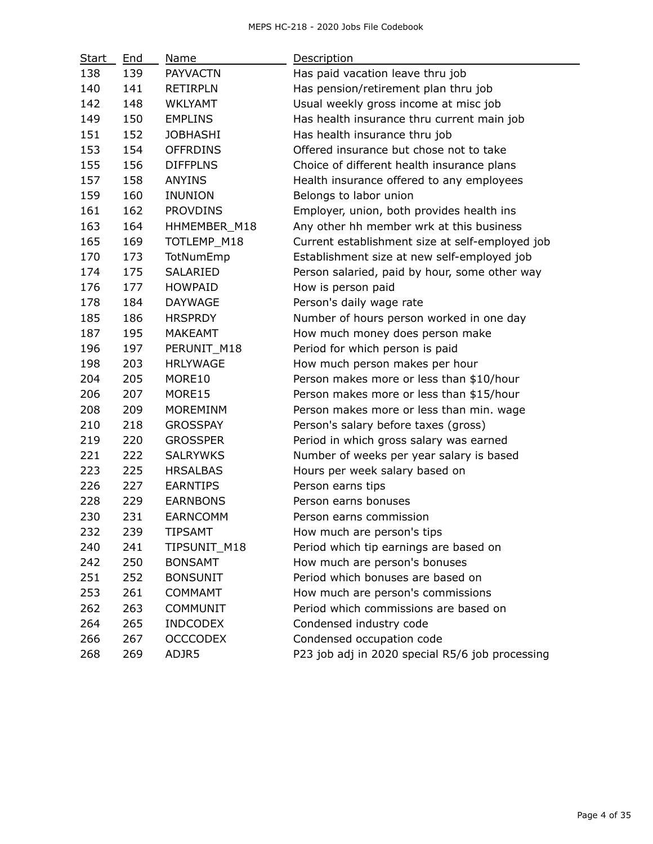| Start | End | Name            | Description                                     |
|-------|-----|-----------------|-------------------------------------------------|
| 138   | 139 | <b>PAYVACTN</b> | Has paid vacation leave thru job                |
| 140   | 141 | <b>RETIRPLN</b> | Has pension/retirement plan thru job            |
| 142   | 148 | <b>WKLYAMT</b>  | Usual weekly gross income at misc job           |
| 149   | 150 | <b>EMPLINS</b>  | Has health insurance thru current main job      |
| 151   | 152 | <b>JOBHASHI</b> | Has health insurance thru job                   |
| 153   | 154 | <b>OFFRDINS</b> | Offered insurance but chose not to take         |
| 155   | 156 | <b>DIFFPLNS</b> | Choice of different health insurance plans      |
| 157   | 158 | <b>ANYINS</b>   | Health insurance offered to any employees       |
| 159   | 160 | <b>INUNION</b>  | Belongs to labor union                          |
| 161   | 162 | <b>PROVDINS</b> | Employer, union, both provides health ins       |
| 163   | 164 | HHMEMBER_M18    | Any other hh member wrk at this business        |
| 165   | 169 | TOTLEMP_M18     | Current establishment size at self-employed job |
| 170   | 173 | TotNumEmp       | Establishment size at new self-employed job     |
| 174   | 175 | SALARIED        | Person salaried, paid by hour, some other way   |
| 176   | 177 | <b>HOWPAID</b>  | How is person paid                              |
| 178   | 184 | <b>DAYWAGE</b>  | Person's daily wage rate                        |
| 185   | 186 | <b>HRSPRDY</b>  | Number of hours person worked in one day        |
| 187   | 195 | <b>MAKEAMT</b>  | How much money does person make                 |
| 196   | 197 | PERUNIT M18     | Period for which person is paid                 |
| 198   | 203 | <b>HRLYWAGE</b> | How much person makes per hour                  |
| 204   | 205 | MORE10          | Person makes more or less than \$10/hour        |
| 206   | 207 | MORE15          | Person makes more or less than \$15/hour        |
| 208   | 209 | <b>MOREMINM</b> | Person makes more or less than min. wage        |
| 210   | 218 | <b>GROSSPAY</b> | Person's salary before taxes (gross)            |
| 219   | 220 | <b>GROSSPER</b> | Period in which gross salary was earned         |
| 221   | 222 | <b>SALRYWKS</b> | Number of weeks per year salary is based        |
| 223   | 225 | <b>HRSALBAS</b> | Hours per week salary based on                  |
| 226   | 227 | <b>EARNTIPS</b> | Person earns tips                               |
| 228   | 229 | <b>EARNBONS</b> | Person earns bonuses                            |
| 230   | 231 | <b>EARNCOMM</b> | Person earns commission                         |
| 232   | 239 | <b>TIPSAMT</b>  | How much are person's tips                      |
| 240   | 241 | TIPSUNIT M18    | Period which tip earnings are based on          |
| 242   | 250 | <b>BONSAMT</b>  | How much are person's bonuses                   |
| 251   | 252 | <b>BONSUNIT</b> | Period which bonuses are based on               |
| 253   | 261 | <b>COMMAMT</b>  | How much are person's commissions               |
| 262   | 263 | <b>COMMUNIT</b> | Period which commissions are based on           |
| 264   | 265 | <b>INDCODEX</b> | Condensed industry code                         |
| 266   | 267 | <b>OCCCODEX</b> | Condensed occupation code                       |
| 268   | 269 | ADJR5           | P23 job adj in 2020 special R5/6 job processing |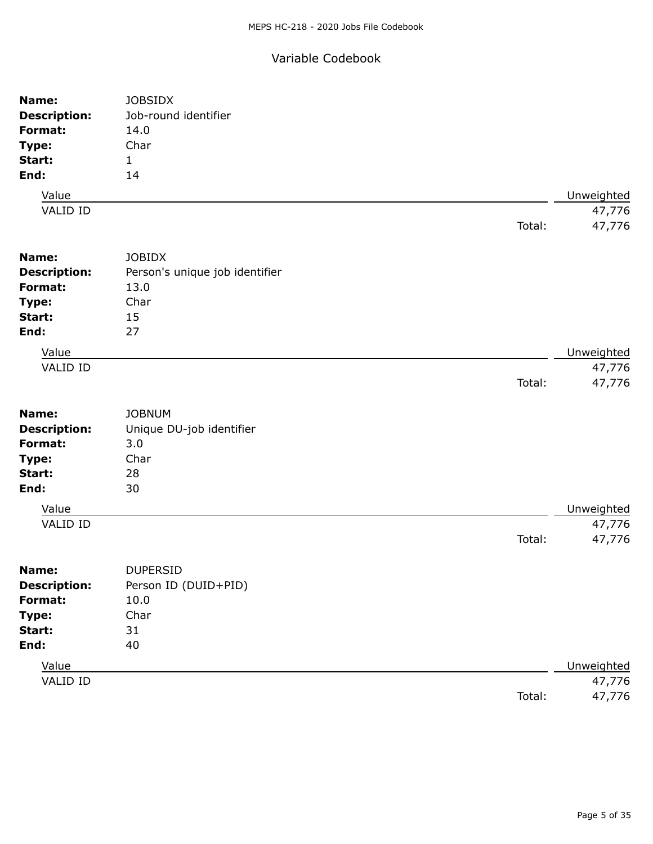## Variable Codebook

| Name:               | <b>JOBSIDX</b>                 |        |            |
|---------------------|--------------------------------|--------|------------|
| <b>Description:</b> | Job-round identifier           |        |            |
| Format:             | 14.0                           |        |            |
| Type:               | Char                           |        |            |
| Start:              | $\mathbf{1}$                   |        |            |
| End:                | 14                             |        |            |
| Value               |                                |        | Unweighted |
| VALID ID            |                                |        | 47,776     |
|                     |                                | Total: | 47,776     |
|                     |                                |        |            |
| Name:               | <b>JOBIDX</b>                  |        |            |
| <b>Description:</b> | Person's unique job identifier |        |            |
| Format:             | 13.0                           |        |            |
| Type:               | Char                           |        |            |
| Start:              | 15                             |        |            |
| End:                | 27                             |        |            |
| Value               |                                |        | Unweighted |
| <b>VALID ID</b>     |                                |        | 47,776     |
|                     |                                | Total: | 47,776     |
|                     |                                |        |            |
| Name:               | <b>JOBNUM</b>                  |        |            |
| <b>Description:</b> | Unique DU-job identifier       |        |            |
| Format:             | 3.0                            |        |            |
| Type:               | Char                           |        |            |
| Start:              | 28                             |        |            |
| End:                | 30                             |        |            |
| Value               |                                |        | Unweighted |
| VALID ID            |                                |        | 47,776     |
|                     |                                | Total: | 47,776     |
| Name:               | <b>DUPERSID</b>                |        |            |
| <b>Description:</b> | Person ID (DUID+PID)           |        |            |
| Format:             | 10.0                           |        |            |
| Type:               | Char                           |        |            |
| Start:              | 31                             |        |            |
| End:                | 40                             |        |            |
| Value               |                                |        | Unweighted |
| VALID ID            |                                |        | 47,776     |
|                     |                                | Total: | 47,776     |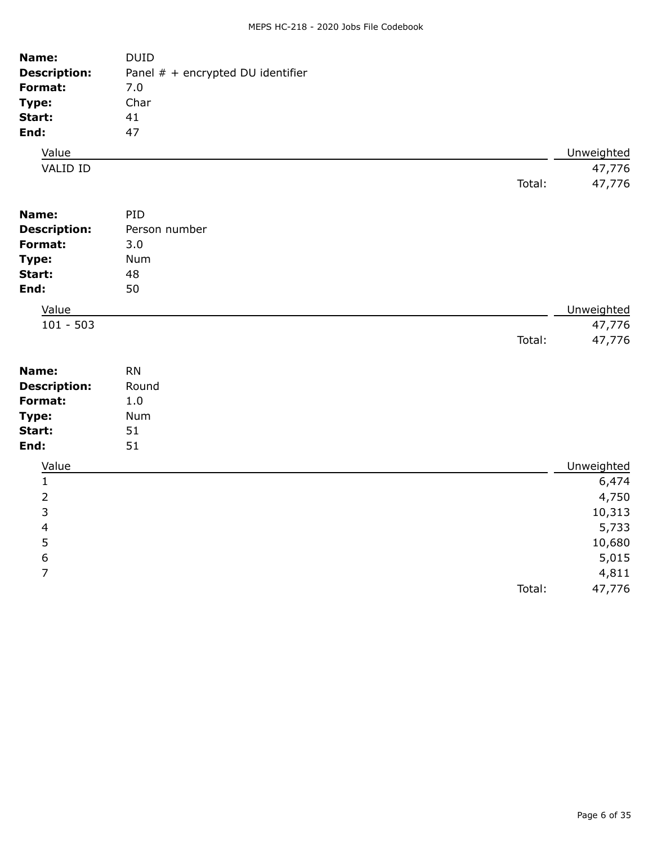| Name:               | <b>DUID</b>                       |            |
|---------------------|-----------------------------------|------------|
| <b>Description:</b> | Panel # + encrypted DU identifier |            |
| Format:             | 7.0                               |            |
| Type:               | Char                              |            |
| Start:              | 41                                |            |
| End:                | 47                                |            |
| Value               |                                   | Unweighted |
| VALID ID            |                                   | 47,776     |
|                     | Total:                            | 47,776     |
| Name:               | PID                               |            |
| <b>Description:</b> | Person number                     |            |
| Format:             | 3.0                               |            |
| Type:               | Num                               |            |
| Start:              | 48                                |            |
| End:                | 50                                |            |
| Value               |                                   | Unweighted |
| $101 - 503$         |                                   | 47,776     |
|                     | Total:                            | 47,776     |
| Name:               | <b>RN</b>                         |            |
| <b>Description:</b> | Round                             |            |
| Format:             | 1.0                               |            |
| Type:               | Num                               |            |
| Start:              | 51                                |            |
| End:                | 51                                |            |
| Value               |                                   | Unweighted |
| 1                   |                                   | 6,474      |
| 2                   |                                   | 4,750      |
| 3                   |                                   | 10,313     |
| 4                   |                                   | 5,733      |
| 5                   |                                   | 10,680     |
| $\boldsymbol{6}$    |                                   | 5,015      |
| 7                   |                                   | 4,811      |
|                     | Total:                            | 47,776     |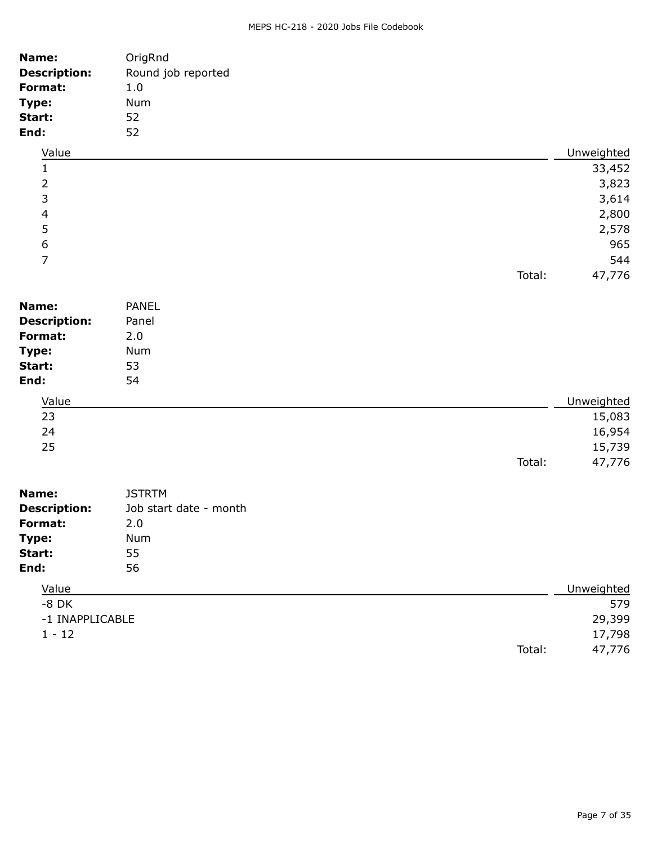### MEPS HC-218 - 2020 Jobs File Codebook

| Name:                    | OrigRnd                |        |            |
|--------------------------|------------------------|--------|------------|
| <b>Description:</b>      | Round job reported     |        |            |
| Format:                  | 1.0                    |        |            |
| Type:                    | Num                    |        |            |
| Start:                   | 52                     |        |            |
| End:                     | 52                     |        |            |
| Value                    |                        |        | Unweighted |
| 1                        |                        |        | 33,452     |
| $\overline{2}$           |                        |        | 3,823      |
| 3                        |                        |        | 3,614      |
| $\overline{\mathcal{L}}$ |                        |        | 2,800      |
| 5                        |                        |        | 2,578      |
| $\boldsymbol{6}$         |                        |        | 965        |
| $\overline{7}$           |                        |        | 544        |
|                          |                        | Total: | 47,776     |
| Name:                    | <b>PANEL</b>           |        |            |
| <b>Description:</b>      | Panel                  |        |            |
| Format:                  | 2.0                    |        |            |
| Type:                    | Num                    |        |            |
| Start:                   | 53                     |        |            |
| End:                     | 54                     |        |            |
|                          |                        |        |            |
| Value                    |                        |        | Unweighted |
| 23                       |                        |        | 15,083     |
| 24                       |                        |        | 16,954     |
| 25                       |                        |        | 15,739     |
|                          |                        | Total: | 47,776     |
| Name:                    | <b>JSTRTM</b>          |        |            |
| <b>Description:</b>      | Job start date - month |        |            |
| Format:                  | 2.0                    |        |            |
| Type:                    | Num                    |        |            |
| Start:                   | 55                     |        |            |
| End:                     | 56                     |        |            |
| Value                    |                        |        | Unweighted |
| $-8$ DK                  |                        |        | 579        |
| -1 INAPPLICABLE          |                        |        | 29,399     |
| $1 - 12$                 |                        |        | 17,798     |
|                          |                        | Total: | 47,776     |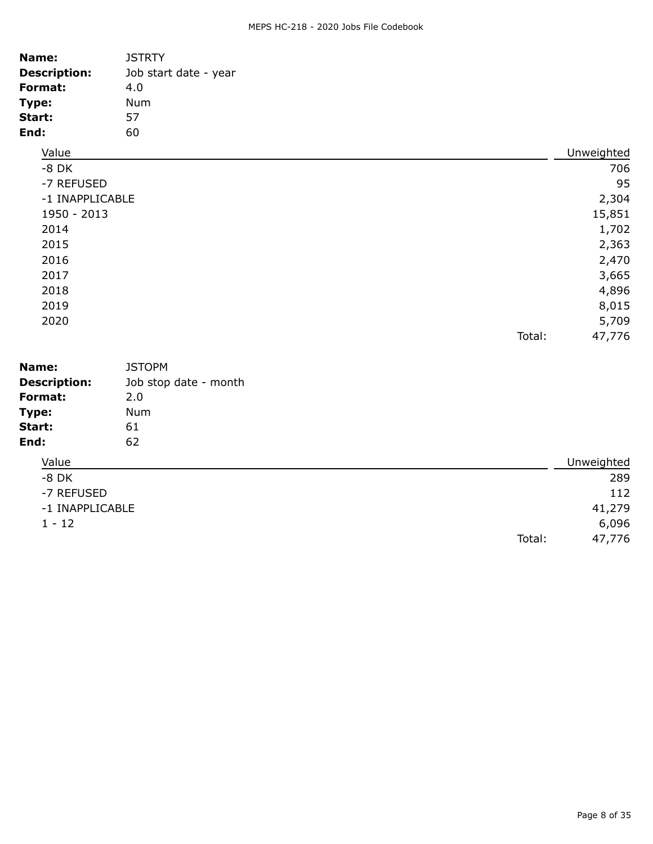### MEPS HC-218 - 2020 Jobs File Codebook

| Name:               | <b>JSTRTY</b>         |        |            |
|---------------------|-----------------------|--------|------------|
| <b>Description:</b> | Job start date - year |        |            |
| Format:             | 4.0                   |        |            |
| Type:               | <b>Num</b>            |        |            |
| Start:              | 57                    |        |            |
| End:                | 60                    |        |            |
| Value               |                       |        | Unweighted |
| $-8$ DK             |                       |        | 706        |
| -7 REFUSED          |                       |        | 95         |
| -1 INAPPLICABLE     |                       |        | 2,304      |
| 1950 - 2013         |                       |        | 15,851     |
| 2014                |                       |        | 1,702      |
| 2015                |                       |        | 2,363      |
| 2016                |                       |        | 2,470      |
| 2017                |                       |        | 3,665      |
| 2018                |                       |        | 4,896      |
| 2019                |                       |        | 8,015      |
| 2020                |                       |        | 5,709      |
|                     |                       | Total: | 47,776     |
| Name:               | <b>JSTOPM</b>         |        |            |
| <b>Description:</b> | Job stop date - month |        |            |
| Format:             | 2.0                   |        |            |
| Type:               | Num                   |        |            |
| Start:              | 61                    |        |            |
| End:                | 62                    |        |            |
| Value               |                       |        | Unweighted |
| $-8$ DK             |                       |        | 289        |
| -7 REFUSED          |                       |        | 112        |
| -1 INAPPLICABLE     |                       |        | 41,279     |
| $1 - 12$            |                       |        | 6,096      |
|                     |                       | Total: | 47,776     |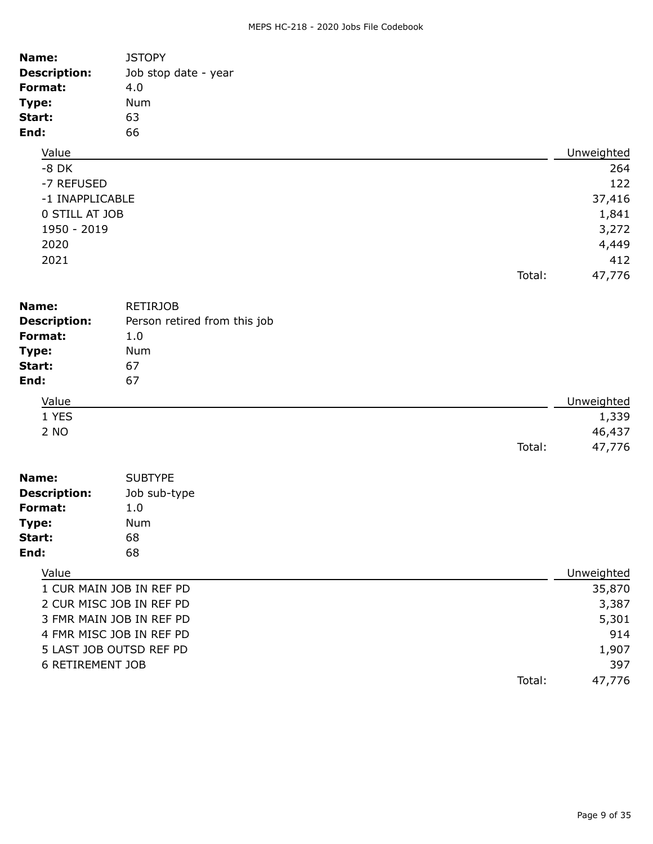### MEPS HC-218 - 2020 Jobs File Codebook

| Name:                   | <b>JSTOPY</b>                |        |            |
|-------------------------|------------------------------|--------|------------|
| <b>Description:</b>     | Job stop date - year         |        |            |
| Format:                 | 4.0                          |        |            |
| Type:                   | Num                          |        |            |
| Start:                  | 63                           |        |            |
| End:                    | 66                           |        |            |
| Value                   |                              |        | Unweighted |
| $-8$ DK                 |                              |        | 264        |
| -7 REFUSED              |                              |        | 122        |
| -1 INAPPLICABLE         |                              |        | 37,416     |
| 0 STILL AT JOB          |                              |        | 1,841      |
| 1950 - 2019             |                              |        | 3,272      |
| 2020                    |                              |        | 4,449      |
| 2021                    |                              |        | 412        |
|                         |                              | Total: | 47,776     |
| Name:                   | <b>RETIRJOB</b>              |        |            |
| <b>Description:</b>     | Person retired from this job |        |            |
| Format:                 | 1.0                          |        |            |
| Type:                   | Num                          |        |            |
| Start:                  | 67                           |        |            |
| End:                    | 67                           |        |            |
| Value                   |                              |        | Unweighted |
| 1 YES                   |                              |        | 1,339      |
| 2 NO                    |                              |        | 46,437     |
|                         |                              | Total: | 47,776     |
| Name:                   | <b>SUBTYPE</b>               |        |            |
| <b>Description:</b>     | Job sub-type                 |        |            |
| Format:                 | 1.0                          |        |            |
| Type:                   | Num                          |        |            |
| Start:                  | 68                           |        |            |
| End:                    | 68                           |        |            |
| Value                   |                              |        | Unweighted |
|                         | 1 CUR MAIN JOB IN REF PD     |        | 35,870     |
|                         | 2 CUR MISC JOB IN REF PD     |        | 3,387      |
|                         | 3 FMR MAIN JOB IN REF PD     |        | 5,301      |
|                         | 4 FMR MISC JOB IN REF PD     |        | 914        |
|                         | 5 LAST JOB OUTSD REF PD      |        | 1,907      |
| <b>6 RETIREMENT JOB</b> |                              |        | 397        |
|                         |                              | Total: | 47,776     |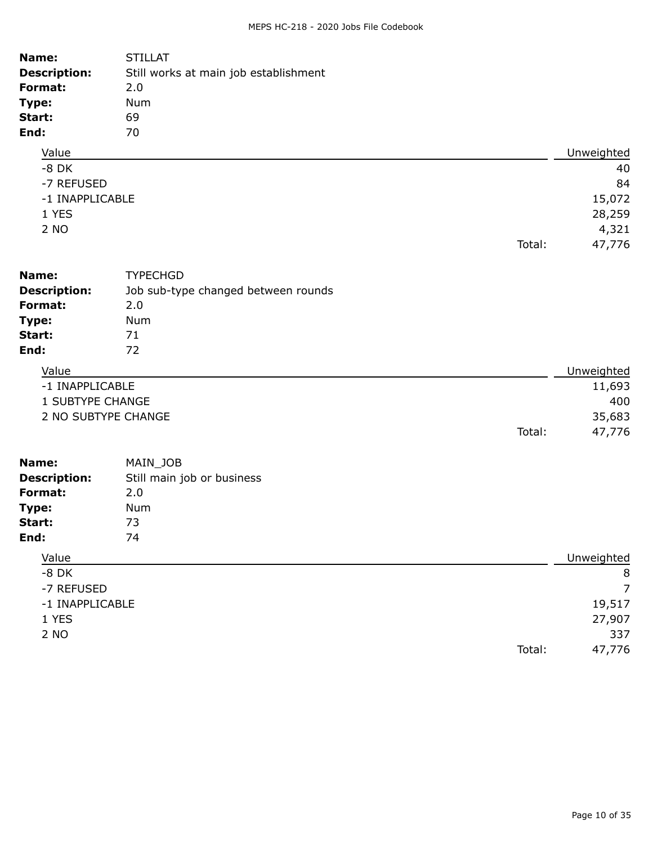| <b>STILLAT</b><br>Name:               |                                       |            |
|---------------------------------------|---------------------------------------|------------|
| <b>Description:</b><br>Format:<br>2.0 | Still works at main job establishment |            |
|                                       |                                       |            |
| Type:<br>Num                          |                                       |            |
| 69<br>Start:<br>70<br>End:            |                                       |            |
| Value                                 |                                       | Unweighted |
| $-8$ DK                               |                                       | 40         |
| -7 REFUSED                            |                                       | 84         |
| -1 INAPPLICABLE                       |                                       | 15,072     |
| 1 YES                                 |                                       |            |
| 2 NO                                  |                                       | 28,259     |
|                                       |                                       | 4,321      |
|                                       | Total:                                | 47,776     |
| Name:<br><b>TYPECHGD</b>              |                                       |            |
| <b>Description:</b>                   | Job sub-type changed between rounds   |            |
| Format:<br>2.0                        |                                       |            |
| Type:<br><b>Num</b>                   |                                       |            |
| Start:<br>71                          |                                       |            |
| End:<br>72                            |                                       |            |
| Value                                 |                                       | Unweighted |
| -1 INAPPLICABLE                       |                                       | 11,693     |
| 1 SUBTYPE CHANGE                      |                                       | 400        |
| 2 NO SUBTYPE CHANGE                   |                                       | 35,683     |
|                                       | Total:                                | 47,776     |
| Name:<br>MAIN_JOB                     |                                       |            |
| <b>Description:</b>                   | Still main job or business            |            |
| <b>Format:</b><br>2.0                 |                                       |            |
| Type:<br><b>Num</b>                   |                                       |            |
| 73<br>Start:                          |                                       |            |
| 74<br>End:                            |                                       |            |

| Value           | Unweighted       |
|-----------------|------------------|
| $-8$ DK         | 8                |
| -7 REFUSED      | $\overline{7}$   |
| -1 INAPPLICABLE | 19,517           |
| 1 YES           | 27,907           |
| 2 NO            | 337              |
|                 | Total:<br>47,776 |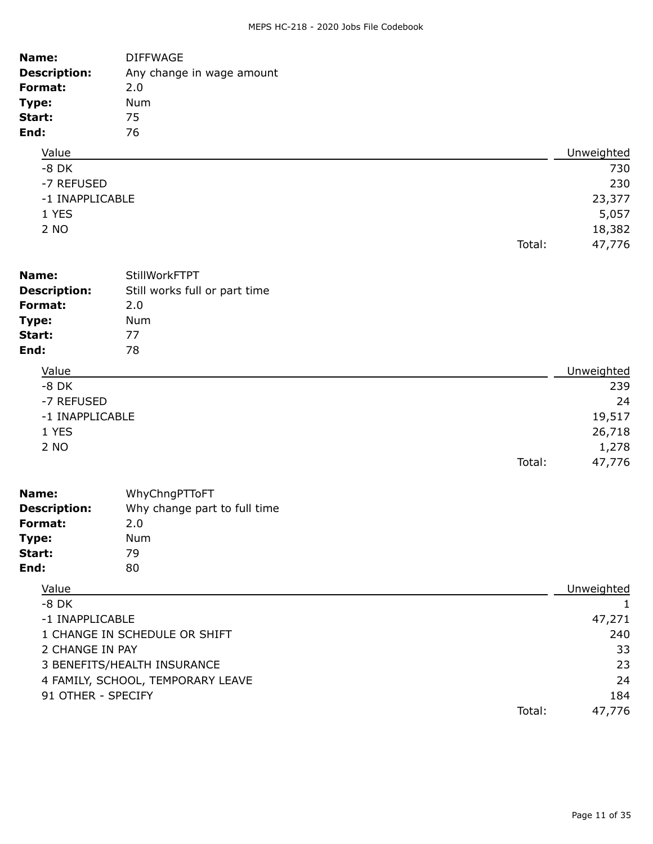| Name:<br><b>Description:</b><br>Format:<br>Type:<br>Start:<br>End:  | <b>DIFFWAGE</b><br>Any change in wage amount<br>2.0<br>Num<br>75<br>76                            |        |                                                       |
|---------------------------------------------------------------------|---------------------------------------------------------------------------------------------------|--------|-------------------------------------------------------|
| Value                                                               |                                                                                                   |        | Unweighted                                            |
| $-8$ DK<br>-7 REFUSED<br>-1 INAPPLICABLE<br>1 YES<br>2 NO           |                                                                                                   | Total: | 730<br>230<br>23,377<br>5,057<br>18,382<br>47,776     |
|                                                                     |                                                                                                   |        |                                                       |
| Name:<br><b>Description:</b><br>Format:<br>Type:<br>Start:<br>End:  | StillWorkFTPT<br>Still works full or part time<br>2.0<br>Num<br>77<br>78                          |        |                                                       |
| Value                                                               |                                                                                                   |        | Unweighted                                            |
| $-8$ DK<br>-7 REFUSED<br>-1 INAPPLICABLE<br>1 YES<br>2 NO           |                                                                                                   | Total: | 239<br>24<br>19,517<br>26,718<br>1,278<br>47,776      |
| Name:<br><b>Description:</b><br>Format:<br>Type:<br>Start:<br>End:  | WhyChngPTToFT<br>Why change part to full time<br>2.0<br>Num<br>79<br>80                           |        |                                                       |
| Value                                                               |                                                                                                   |        | Unweighted                                            |
| $-8$ DK<br>-1 INAPPLICABLE<br>2 CHANGE IN PAY<br>91 OTHER - SPECIFY | 1 CHANGE IN SCHEDULE OR SHIFT<br>3 BENEFITS/HEALTH INSURANCE<br>4 FAMILY, SCHOOL, TEMPORARY LEAVE | Total: | 1<br>47,271<br>240<br>33<br>23<br>24<br>184<br>47,776 |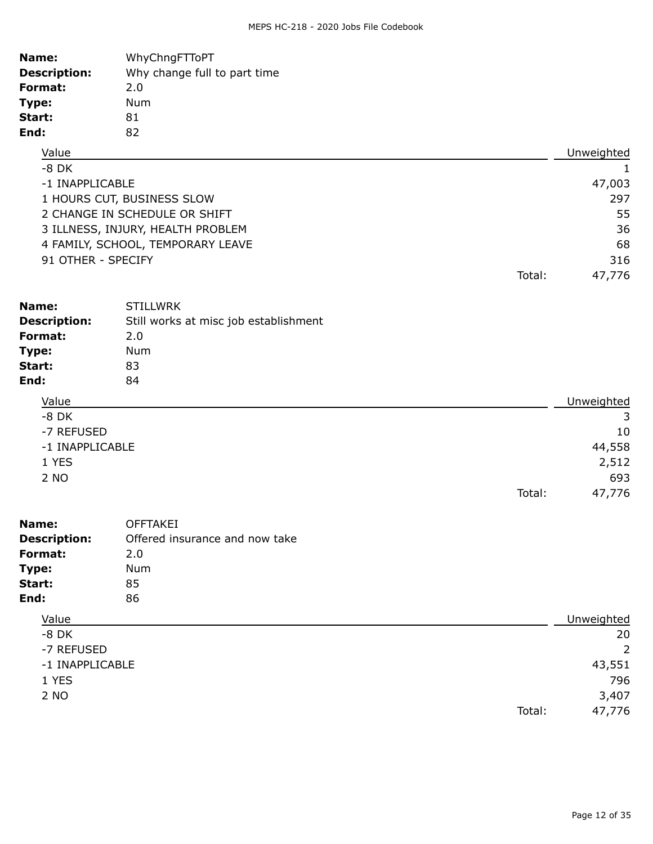| Name:               | WhyChngFTToPT                         |        |                |
|---------------------|---------------------------------------|--------|----------------|
| <b>Description:</b> | Why change full to part time          |        |                |
| Format:             | 2.0                                   |        |                |
| Type:               | Num                                   |        |                |
| Start:              | 81                                    |        |                |
| End:                | 82                                    |        |                |
| Value               |                                       |        | Unweighted     |
| $-8$ DK             |                                       |        | $\mathbf{1}$   |
| -1 INAPPLICABLE     |                                       |        | 47,003         |
|                     | 1 HOURS CUT, BUSINESS SLOW            |        | 297            |
|                     | 2 CHANGE IN SCHEDULE OR SHIFT         |        | 55             |
|                     | 3 ILLNESS, INJURY, HEALTH PROBLEM     |        | 36             |
|                     | 4 FAMILY, SCHOOL, TEMPORARY LEAVE     |        | 68             |
| 91 OTHER - SPECIFY  |                                       |        | 316            |
|                     |                                       | Total: | 47,776         |
|                     |                                       |        |                |
| Name:               | <b>STILLWRK</b>                       |        |                |
| <b>Description:</b> | Still works at misc job establishment |        |                |
| Format:             | 2.0                                   |        |                |
| Type:               | Num                                   |        |                |
| Start:              | 83                                    |        |                |
| End:                | 84                                    |        |                |
| Value               |                                       |        | Unweighted     |
| $-8$ DK             |                                       |        | 3              |
| -7 REFUSED          |                                       |        | 10             |
| -1 INAPPLICABLE     |                                       |        | 44,558         |
| 1 YES               |                                       |        | 2,512          |
| 2 NO                |                                       |        | 693            |
|                     |                                       | Total: | 47,776         |
|                     |                                       |        |                |
| Name:               | <b>OFFTAKEI</b>                       |        |                |
| <b>Description:</b> | Offered insurance and now take        |        |                |
| Format:             | 2.0                                   |        |                |
| Type:               | Num                                   |        |                |
| Start:              | 85                                    |        |                |
| End:                | 86                                    |        |                |
| Value               |                                       |        | Unweighted     |
| $-8$ DK             |                                       |        | 20             |
| -7 REFUSED          |                                       |        | $\overline{2}$ |
|                     |                                       |        |                |

| -1 INAPPLICABLE | 43,551       |
|-----------------|--------------|
| 1 YES           | 796          |
| $\Omega$ NIO    | <b>CON C</b> |

2 NO 3,407 Total: 47,776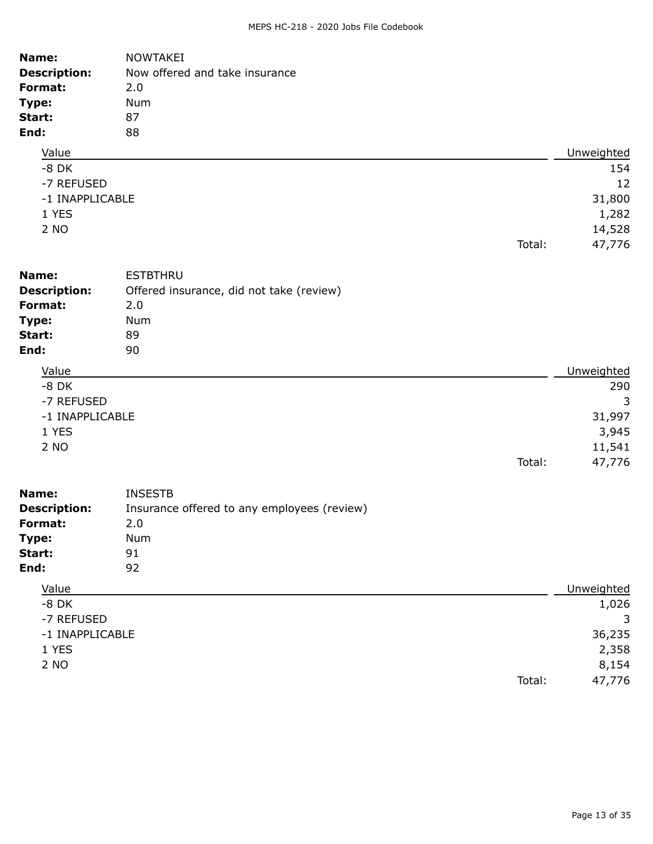| Name:<br><b>Description:</b><br>Format:<br>Type:<br>Start:<br>End: | <b>NOWTAKEI</b><br>Now offered and take insurance<br>2.0<br>Num<br>87<br>88 |        |            |
|--------------------------------------------------------------------|-----------------------------------------------------------------------------|--------|------------|
| Value                                                              |                                                                             |        | Unweighted |
| $-8$ DK                                                            |                                                                             |        | 154        |
| -7 REFUSED                                                         |                                                                             |        | 12         |
| -1 INAPPLICABLE                                                    |                                                                             |        | 31,800     |
| 1 YES                                                              |                                                                             |        | 1,282      |
| 2 NO                                                               |                                                                             |        | 14,528     |
|                                                                    |                                                                             | Total: | 47,776     |
| Name:                                                              | <b>ESTBTHRU</b>                                                             |        |            |
| <b>Description:</b>                                                | Offered insurance, did not take (review)                                    |        |            |
| Format:                                                            | 2.0                                                                         |        |            |
| Type:                                                              | Num                                                                         |        |            |
| Start:                                                             | 89                                                                          |        |            |
| End:                                                               | 90                                                                          |        |            |
| Value                                                              |                                                                             |        | Unweighted |
| $-8$ DK                                                            |                                                                             |        | 290        |
| -7 REFUSED                                                         |                                                                             |        | 3          |
| -1 INAPPLICABLE                                                    |                                                                             |        | 31,997     |
| 1 YES                                                              |                                                                             |        | 3,945      |
| 2 NO                                                               |                                                                             |        | 11,541     |
|                                                                    |                                                                             | Total: | 47,776     |
| Name:                                                              | <b>INSESTB</b>                                                              |        |            |
| <b>Description:</b>                                                | Insurance offered to any employees (review)                                 |        |            |
| Format:                                                            | 2.0                                                                         |        |            |
| Type:                                                              | Num                                                                         |        |            |
| Start:                                                             | 91                                                                          |        |            |
| End:                                                               | 92                                                                          |        |            |
| Value                                                              |                                                                             |        | Unweighted |
| $-8$ DK                                                            |                                                                             |        | 1,026      |
| -7 REFUSED                                                         |                                                                             |        | 3          |
| -1 INAPPLICABLE                                                    |                                                                             |        | 36,235     |
| 1 YES                                                              |                                                                             |        | 2,358      |
| 2 NO                                                               |                                                                             |        | 8,154      |
|                                                                    |                                                                             | Total: | 47,776     |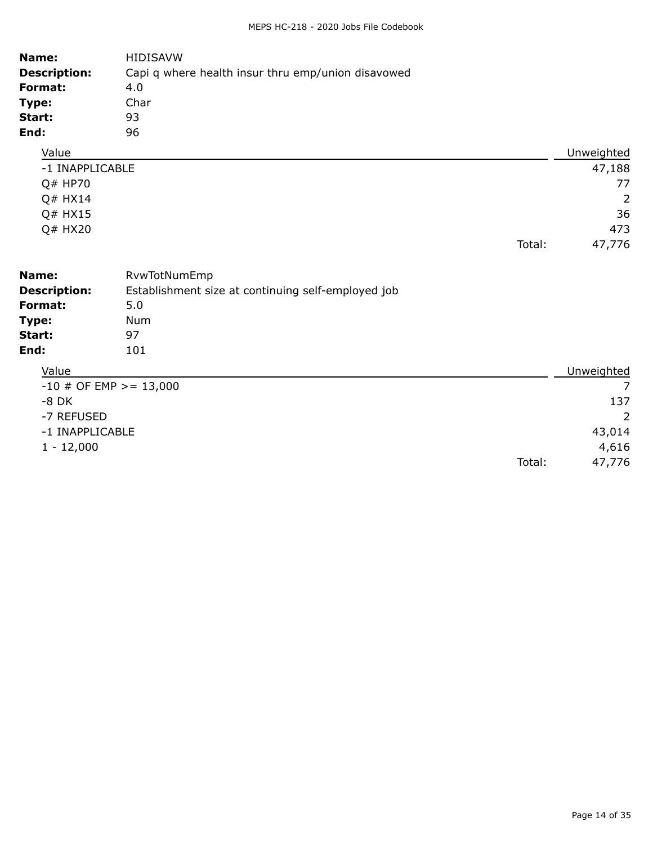| Name:<br><b>Description:</b><br>Format:<br>Type:<br>Start:<br>End: | <b>HIDISAVW</b><br>Capi q where health insur thru emp/union disavowed<br>4.0<br>Char<br>93<br>96 |        |                |
|--------------------------------------------------------------------|--------------------------------------------------------------------------------------------------|--------|----------------|
| Value                                                              |                                                                                                  |        | Unweighted     |
| -1 INAPPLICABLE                                                    |                                                                                                  |        | 47,188         |
| Q# HP70                                                            |                                                                                                  |        | 77             |
| Q# HX14                                                            |                                                                                                  |        | $\overline{2}$ |
| Q# HX15                                                            |                                                                                                  |        | 36             |
| Q# HX20                                                            |                                                                                                  |        | 473            |
|                                                                    |                                                                                                  | Total: | 47,776         |
| Name:<br><b>Description:</b>                                       | RvwTotNumEmp<br>Establishment size at continuing self-employed job                               |        |                |
| Format:                                                            | 5.0                                                                                              |        |                |
| Type:                                                              | <b>Num</b>                                                                                       |        |                |
| Start:                                                             | 97                                                                                               |        |                |
| End:                                                               | 101                                                                                              |        |                |
| Value                                                              |                                                                                                  |        | Unweighted     |
| $-10$ # OF EMP >= 13,000                                           |                                                                                                  |        | $\overline{7}$ |
| $-8$ DK                                                            |                                                                                                  |        | 137            |
| -7 REFUSED                                                         |                                                                                                  |        | 2              |
| -1 INAPPLICABLE                                                    |                                                                                                  |        | 43,014         |
| $1 - 12,000$                                                       |                                                                                                  |        | 4,616          |
|                                                                    |                                                                                                  | Total: | 47,776         |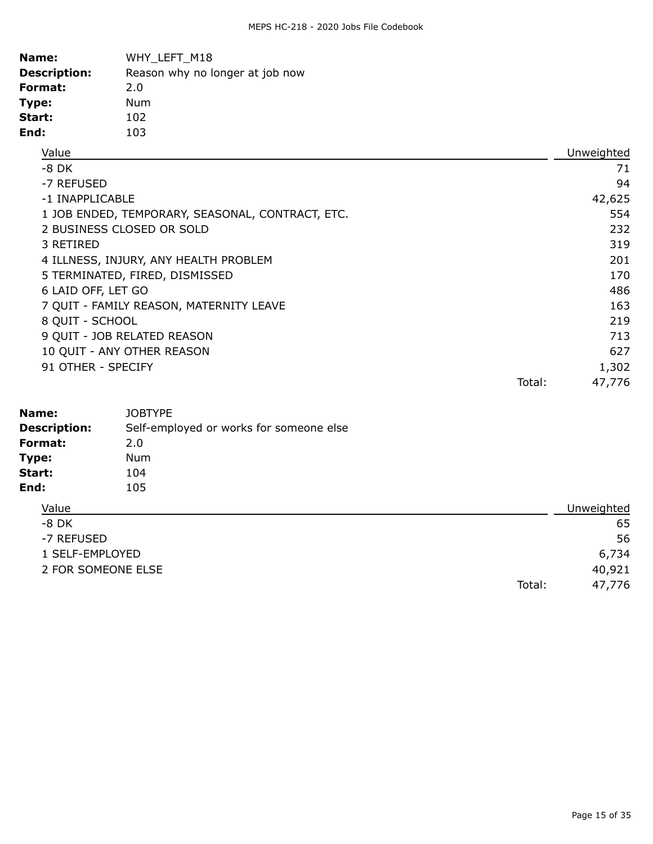| Name:               | WHY LEFT M18                    |
|---------------------|---------------------------------|
| <b>Description:</b> | Reason why no longer at job now |
| Format:             | 2.0                             |
| Type:               | Num                             |
| Start:              | 102                             |
| End:                | 103                             |

| Value                                            |        | Unweighted |
|--------------------------------------------------|--------|------------|
| -8 DK                                            |        | 71         |
| -7 REFUSED                                       |        | 94         |
| -1 INAPPLICABLE                                  |        | 42,625     |
| 1 JOB ENDED, TEMPORARY, SEASONAL, CONTRACT, ETC. |        | 554        |
| 2 BUSINESS CLOSED OR SOLD                        |        | 232        |
| 3 RETIRED                                        |        | 319        |
| 4 ILLNESS, INJURY, ANY HEALTH PROBLEM            |        | 201        |
| 5 TERMINATED, FIRED, DISMISSED                   |        | 170        |
| 6 LAID OFF, LET GO                               |        | 486        |
| 7 QUIT - FAMILY REASON, MATERNITY LEAVE          |        | 163        |
| 8 QUIT - SCHOOL                                  |        | 219        |
| 9 QUIT - JOB RELATED REASON                      |        | 713        |
| 10 QUIT - ANY OTHER REASON                       |        | 627        |
| 91 OTHER - SPECIFY                               |        | 1,302      |
|                                                  | Total: | 47,776     |

| Name:<br><b>Description:</b> | <b>JOBTYPE</b><br>Self-employed or works for someone else |            |
|------------------------------|-----------------------------------------------------------|------------|
| Format:                      | 2.0                                                       |            |
| Type:                        | Num                                                       |            |
| Start:                       | 104                                                       |            |
| End:                         | 105                                                       |            |
| Value                        |                                                           | Unweighted |
| $-8$ DK                      |                                                           | 65         |
| -7 REFUSED                   |                                                           | 56         |
| 1 SELF-EMPLOYED              |                                                           | 6,734      |
| 2 FOR SOMEONE ELSE           |                                                           | 40,921     |
|                              | Total:                                                    | 47,776     |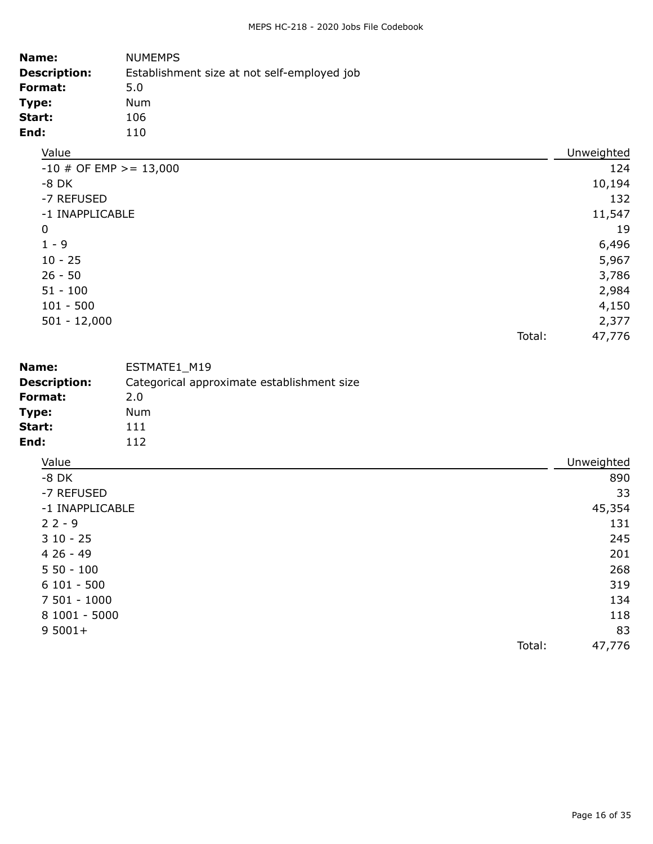| Name:<br><b>Description:</b><br>Format:<br>Type:<br>Start:<br>End: | <b>NUMEMPS</b><br>Establishment size at not self-employed job<br>5.0<br>Num<br>106<br>110 |        |            |
|--------------------------------------------------------------------|-------------------------------------------------------------------------------------------|--------|------------|
| Value                                                              |                                                                                           |        | Unweighted |
| $-10$ # OF EMP >= 13,000                                           |                                                                                           |        | 124        |
| $-8$ DK                                                            |                                                                                           |        | 10,194     |
| -7 REFUSED                                                         |                                                                                           |        | 132        |
| -1 INAPPLICABLE                                                    |                                                                                           |        | 11,547     |
| $\mathbf 0$                                                        |                                                                                           |        | 19         |
| $1 - 9$                                                            |                                                                                           |        | 6,496      |
| $10 - 25$                                                          |                                                                                           |        | 5,967      |
| $26 - 50$                                                          |                                                                                           |        | 3,786      |
| $51 - 100$                                                         |                                                                                           |        | 2,984      |
| $101 - 500$                                                        |                                                                                           |        | 4,150      |
| $501 - 12,000$                                                     |                                                                                           |        | 2,377      |
|                                                                    |                                                                                           | Total: | 47,776     |
| Name:                                                              | ESTMATE1_M19                                                                              |        |            |
| <b>Description:</b>                                                | Categorical approximate establishment size                                                |        |            |
| Format:                                                            | 2.0                                                                                       |        |            |
| Type:                                                              | Num                                                                                       |        |            |
| Start:                                                             | 111                                                                                       |        |            |
| End:                                                               | 112                                                                                       |        |            |
| Value                                                              |                                                                                           |        | Unweighted |
| $-8$ DK                                                            |                                                                                           |        | 890        |
| -7 REFUSED                                                         |                                                                                           |        | 33         |

| -7 REFUSED      | 33     |
|-----------------|--------|
| -1 INAPPLICABLE | 45,354 |
| $22 - 9$        | 131    |
| $310 - 25$      | 245    |
| $426 - 49$      | 201    |
| $550 - 100$     | 268    |
| $6101 - 500$    | 319    |
| 7 501 - 1000    | 134    |
| 8 1001 - 5000   | 118    |
| $95001+$        | 83     |
| Total:          | 47,776 |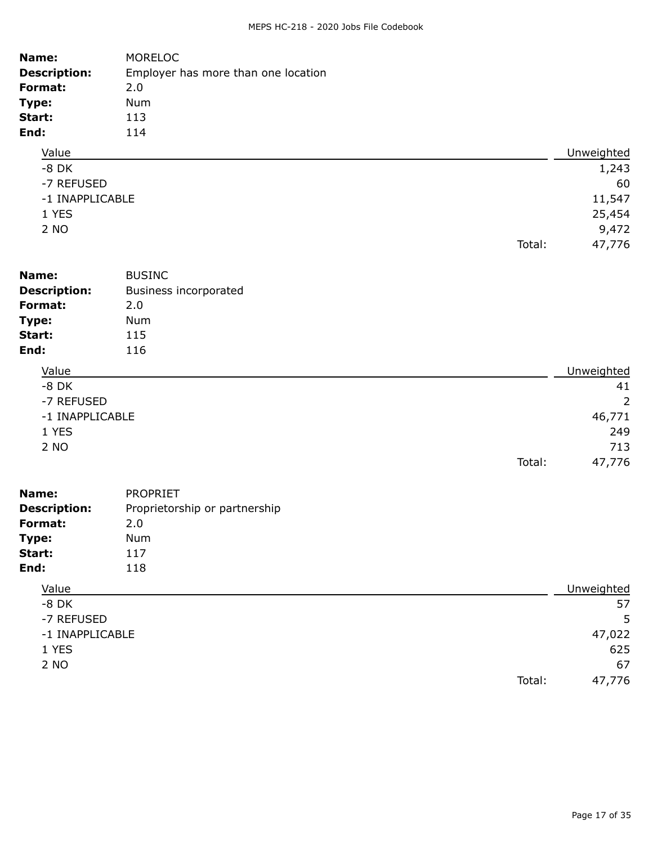| Name:               | <b>MORELOC</b>                      |        |                |
|---------------------|-------------------------------------|--------|----------------|
| <b>Description:</b> | Employer has more than one location |        |                |
| Format:             | 2.0                                 |        |                |
| Type:               | Num                                 |        |                |
| Start:              | 113                                 |        |                |
| End:                | 114                                 |        |                |
| Value               |                                     |        | Unweighted     |
| $-8$ DK             |                                     |        | 1,243          |
| -7 REFUSED          |                                     |        | 60             |
| -1 INAPPLICABLE     |                                     |        | 11,547         |
| 1 YES               |                                     |        | 25,454         |
| 2 NO                |                                     |        | 9,472          |
|                     |                                     | Total: | 47,776         |
| Name:               | <b>BUSINC</b>                       |        |                |
| <b>Description:</b> | <b>Business incorporated</b>        |        |                |
| Format:             | 2.0                                 |        |                |
| Type:               | Num                                 |        |                |
| Start:              | 115                                 |        |                |
| End:                | 116                                 |        |                |
|                     |                                     |        |                |
| Value               |                                     |        | Unweighted     |
| $-8$ DK             |                                     |        | 41             |
| -7 REFUSED          |                                     |        | $\overline{2}$ |
| -1 INAPPLICABLE     |                                     |        | 46,771         |
| 1 YES               |                                     |        | 249            |
| 2 NO                |                                     |        | 713            |
|                     |                                     | Total: | 47,776         |
| Name:               | <b>PROPRIET</b>                     |        |                |
| <b>Description:</b> | Proprietorship or partnership       |        |                |
| Format:             | 2.0                                 |        |                |
| Type:               | Num                                 |        |                |
| Start:              | 117                                 |        |                |
| End:                | 118                                 |        |                |
| Value               |                                     |        | Unweighted     |
| $-8$ DK             |                                     |        | 57             |
| -7 REFUSED          |                                     |        | 5              |
| -1 INAPPLICABLE     |                                     |        | 47,022         |
| 1 YES               |                                     |        | 625            |

2 NO 67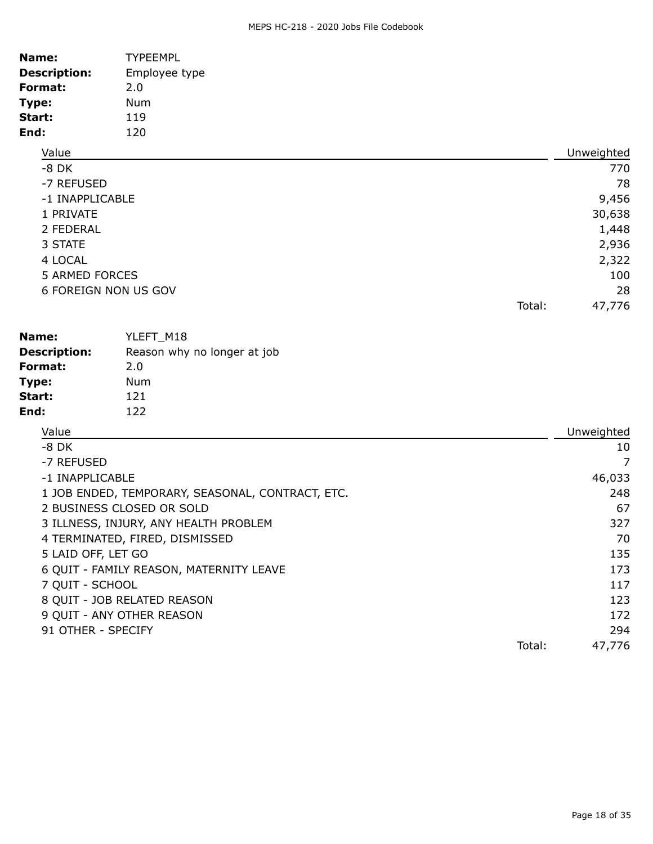| <b>TYPEEMPL</b> |                                                                  |            |
|-----------------|------------------------------------------------------------------|------------|
| Employee type   |                                                                  |            |
| 2.0             |                                                                  |            |
| Num             |                                                                  |            |
| 119             |                                                                  |            |
| 120             |                                                                  |            |
|                 |                                                                  | Unweighted |
|                 |                                                                  | 770        |
|                 |                                                                  | 78         |
|                 |                                                                  | 9,456      |
|                 |                                                                  | 30,638     |
|                 |                                                                  | 1,448      |
|                 |                                                                  | 2,936      |
|                 |                                                                  | 2,322      |
|                 |                                                                  | 100        |
|                 |                                                                  | 28         |
|                 | Total:                                                           | 47,776     |
|                 | -1 INAPPLICABLE<br><b>5 ARMED FORCES</b><br>6 FOREIGN NON US GOV |            |

| Name:               | YLEFT M18                   |
|---------------------|-----------------------------|
| <b>Description:</b> | Reason why no longer at job |
| Format:             | 2.0                         |
| Type:               | Num                         |
| Start:              | 121                         |
| End:                | 122                         |

| Value                                            |        | Unweighted |
|--------------------------------------------------|--------|------------|
| $-8$ DK                                          |        | 10         |
| -7 REFUSED                                       |        | 7          |
| -1 INAPPLICABLE                                  |        | 46,033     |
| 1 JOB ENDED, TEMPORARY, SEASONAL, CONTRACT, ETC. |        | 248        |
| 2 BUSINESS CLOSED OR SOLD                        |        | 67         |
| 3 ILLNESS, INJURY, ANY HEALTH PROBLEM            |        | 327        |
| 4 TERMINATED, FIRED, DISMISSED                   |        | 70         |
| 5 LAID OFF, LET GO                               |        | 135        |
| 6 QUIT - FAMILY REASON, MATERNITY LEAVE          |        | 173        |
| 7 QUIT - SCHOOL                                  |        | 117        |
| 8 QUIT - JOB RELATED REASON                      |        | 123        |
| 9 QUIT - ANY OTHER REASON                        |        | 172        |
| 91 OTHER - SPECIFY                               |        | 294        |
|                                                  | Total: | 47,776     |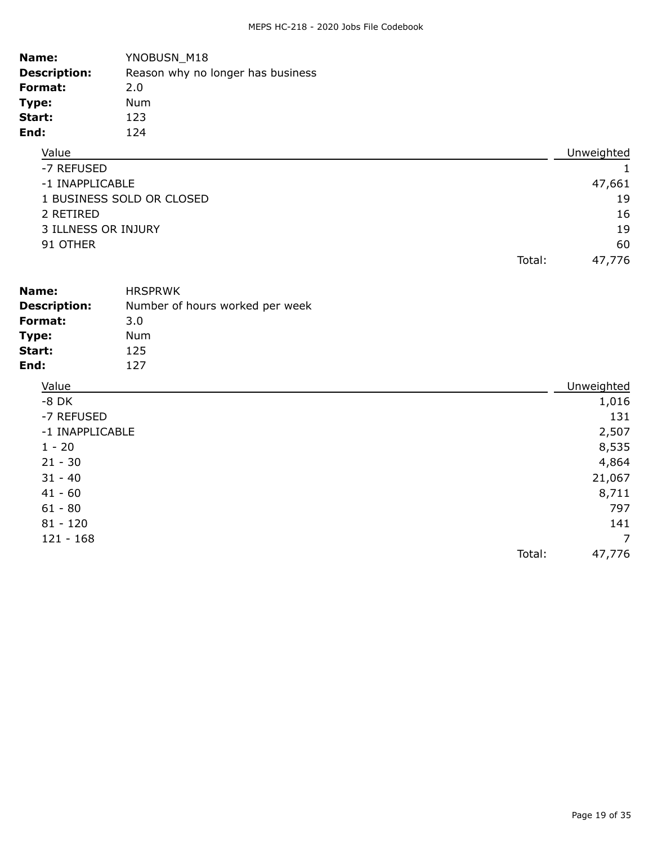| Name:               | YNOBUSN_M18                       |            |
|---------------------|-----------------------------------|------------|
| <b>Description:</b> | Reason why no longer has business |            |
| Format:             | 2.0                               |            |
| Type:               | Num                               |            |
| Start:              | 123                               |            |
| End:                | 124                               |            |
| Value               |                                   | Unweighted |
| -7 REFUSED          |                                   |            |

| T ANLI UJLU               |        |        |
|---------------------------|--------|--------|
| -1 INAPPLICABLE           |        | 47,661 |
| 1 BUSINESS SOLD OR CLOSED |        | 19     |
| 2 RETIRED                 |        | 16     |
| 3 ILLNESS OR INJURY       |        | 19     |
| 91 OTHER                  |        | 60     |
|                           | Total: | 47,776 |

| Name:               | <b>HRSPRWK</b>                  |            |
|---------------------|---------------------------------|------------|
| <b>Description:</b> | Number of hours worked per week |            |
| Format:             | 3.0                             |            |
| Type:               | Num                             |            |
| Start:              | 125                             |            |
| End:                | 127                             |            |
| Value               |                                 | Unweighted |

| value           | Uliweighted |
|-----------------|-------------|
| $-8$ DK         | 1,016       |
| -7 REFUSED      | 131         |
| -1 INAPPLICABLE | 2,507       |
| $1 - 20$        | 8,535       |
| $21 - 30$       | 4,864       |
| $31 - 40$       | 21,067      |
| $41 - 60$       | 8,711       |
| $61 - 80$       | 797         |
| $81 - 120$      | 141         |
| $121 - 168$     | 7           |
| Total:          | 47,776      |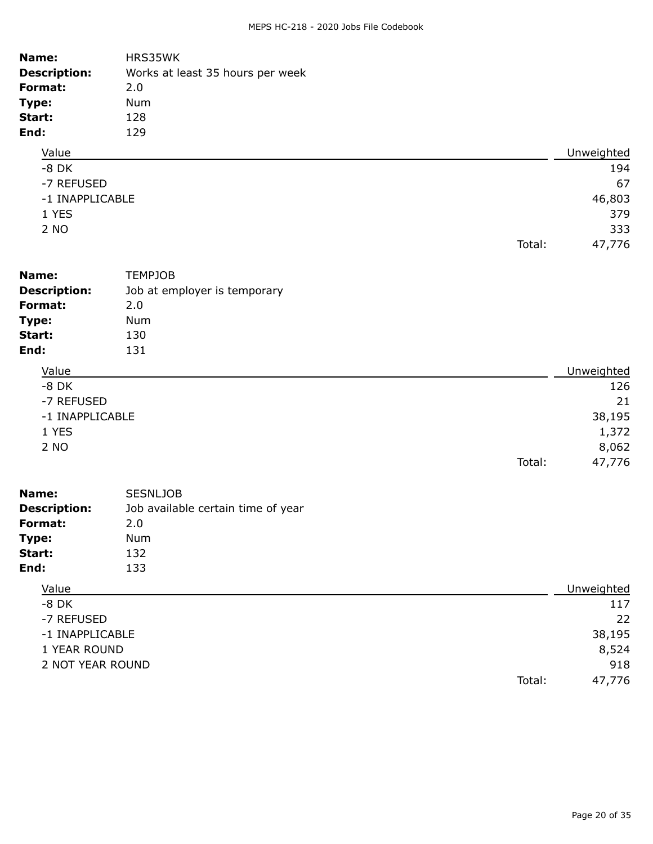| Name:<br><b>Description:</b><br>Format:<br>Type:<br>Start:<br>End: | HRS35WK<br>Works at least 35 hours per week<br>2.0<br>Num<br>128<br>129 |        |            |
|--------------------------------------------------------------------|-------------------------------------------------------------------------|--------|------------|
| Value                                                              |                                                                         |        | Unweighted |
| $-8$ DK                                                            |                                                                         |        | 194        |
| -7 REFUSED                                                         |                                                                         |        | 67         |
| -1 INAPPLICABLE                                                    |                                                                         |        | 46,803     |
| 1 YES                                                              |                                                                         |        | 379        |
| 2 NO                                                               |                                                                         |        | 333        |
|                                                                    |                                                                         | Total: | 47,776     |
| Name:                                                              | <b>TEMPJOB</b>                                                          |        |            |
| <b>Description:</b>                                                | Job at employer is temporary                                            |        |            |
| Format:                                                            | 2.0                                                                     |        |            |
| Type:                                                              | Num                                                                     |        |            |
| Start:                                                             | 130                                                                     |        |            |
| End:                                                               | 131                                                                     |        |            |
| Value                                                              |                                                                         |        | Unweighted |
| $-8$ DK                                                            |                                                                         |        | 126        |
| -7 REFUSED                                                         |                                                                         |        | 21         |
| -1 INAPPLICABLE                                                    |                                                                         |        | 38,195     |
| 1 YES                                                              |                                                                         |        | 1,372      |
| 2 NO                                                               |                                                                         |        | 8,062      |
|                                                                    |                                                                         | Total: | 47,776     |
| Name:                                                              | <b>SESNLJOB</b>                                                         |        |            |
| <b>Description:</b>                                                | Job available certain time of year                                      |        |            |
| Format:                                                            | 2.0                                                                     |        |            |
| Type:                                                              | Num                                                                     |        |            |
| Start:                                                             | 132                                                                     |        |            |
| End:                                                               | 133                                                                     |        |            |
| Value                                                              |                                                                         |        | Unweighted |
| $-8$ DK                                                            |                                                                         |        | 117        |
| -7 REFUSED                                                         |                                                                         |        | 22         |
|                                                                    | -1 INAPPLICABLE                                                         |        | 38,195     |
| 1 YEAR ROUND                                                       |                                                                         |        | 8,524      |
| 2 NOT YEAR ROUND                                                   |                                                                         |        | 918        |
|                                                                    |                                                                         | Total: | 47,776     |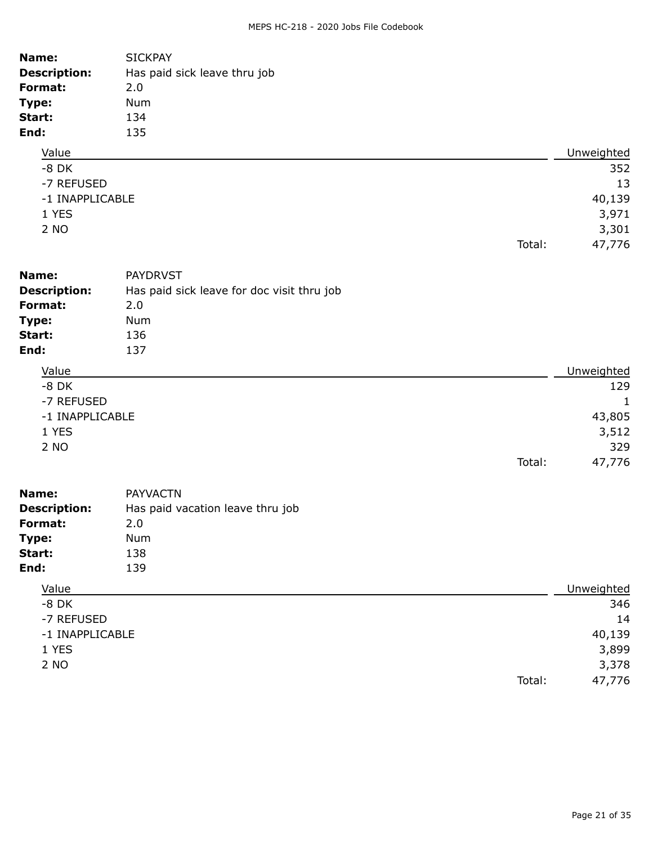| Name:<br><b>Description:</b><br>Format:<br>Type:<br>Start:<br>End: | <b>SICKPAY</b><br>Has paid sick leave thru job<br>2.0<br>Num<br>134<br>135      |                                                            |
|--------------------------------------------------------------------|---------------------------------------------------------------------------------|------------------------------------------------------------|
| Value                                                              |                                                                                 | Unweighted                                                 |
| $-8$ DK<br>-7 REFUSED<br>-1 INAPPLICABLE<br>1 YES<br>2 NO          | Total:                                                                          | 352<br>13<br>40,139<br>3,971<br>3,301<br>47,776            |
| Name:                                                              | <b>PAYDRVST</b>                                                                 |                                                            |
| <b>Description:</b><br>Format:                                     | Has paid sick leave for doc visit thru job<br>2.0                               |                                                            |
| Type:                                                              | Num                                                                             |                                                            |
| Start:<br>End:                                                     | 136<br>137                                                                      |                                                            |
|                                                                    |                                                                                 |                                                            |
| Value<br>$-8$ DK<br>-7 REFUSED<br>-1 INAPPLICABLE<br>1 YES<br>2 NO | Total:                                                                          | Unweighted<br>129<br>1<br>43,805<br>3,512<br>329<br>47,776 |
|                                                                    |                                                                                 |                                                            |
| Name:<br><b>Description:</b><br>Format:<br>Type:<br>Start:<br>End: | <b>PAYVACTN</b><br>Has paid vacation leave thru job<br>2.0<br>Num<br>138<br>139 |                                                            |
| Value                                                              |                                                                                 | Unweighted                                                 |
| $-8$ DK<br>-7 REFUSED<br>-1 INAPPLICABLE<br>1 YES<br>2 NO          | Total:                                                                          | 346<br>14<br>40,139<br>3,899<br>3,378<br>47,776            |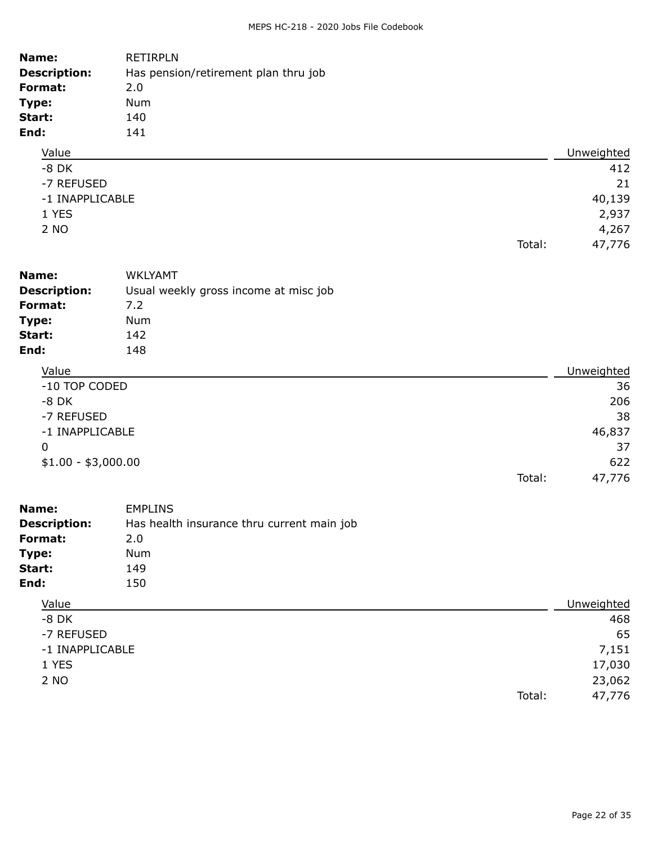| Name:               | <b>RETIRPLN</b>                      |        |            |
|---------------------|--------------------------------------|--------|------------|
| <b>Description:</b> | Has pension/retirement plan thru job |        |            |
| Format:             | 2.0                                  |        |            |
| Type:               | <b>Num</b>                           |        |            |
| Start:              | 140                                  |        |            |
| End:                | 141                                  |        |            |
| Value               |                                      |        | Unweighted |
| $-8$ DK             |                                      |        | 412        |
| -7 REFUSED          |                                      |        | 21         |
| -1 INAPPLICABLE     |                                      |        | 40,139     |
| 1 YES               |                                      |        | 2,937      |
| 2 NO                |                                      |        | 4,267      |
|                     |                                      | Total: | 47,776     |

| Name:               | <b>WKLYAMT</b>                        |            |
|---------------------|---------------------------------------|------------|
| <b>Description:</b> | Usual weekly gross income at misc job |            |
| Format:             | 7.2                                   |            |
| Type:               | <b>Num</b>                            |            |
| Start:              | 142                                   |            |
| End:                | 148                                   |            |
| Value               |                                       | Unweighted |
| -10 TOP CODED       |                                       | 36         |
| O <sub>N</sub>      |                                       | ∩∩⊆        |

| -8 DK               |        | 206    |
|---------------------|--------|--------|
| -7 REFUSED          |        | 38     |
| -1 INAPPLICABLE     |        | 46,837 |
| 0                   |        | 37     |
| $$1.00 - $3,000.00$ |        | 622    |
|                     | Total: | 47,776 |
|                     |        |        |

| Name:               | <b>EMPLINS</b>                             |            |
|---------------------|--------------------------------------------|------------|
| <b>Description:</b> | Has health insurance thru current main job |            |
| Format:             | 2.0                                        |            |
| Type:               | Num                                        |            |
| Start:              | 149                                        |            |
| End:                | 150                                        |            |
| Value               |                                            | Unweighted |
| $-8$ DK             |                                            | 468        |
| -7 REFUSED          |                                            | 65         |
| -1 INAPPLICABLE     |                                            | 7,151      |

1 YES 17,030

2 NO 23,062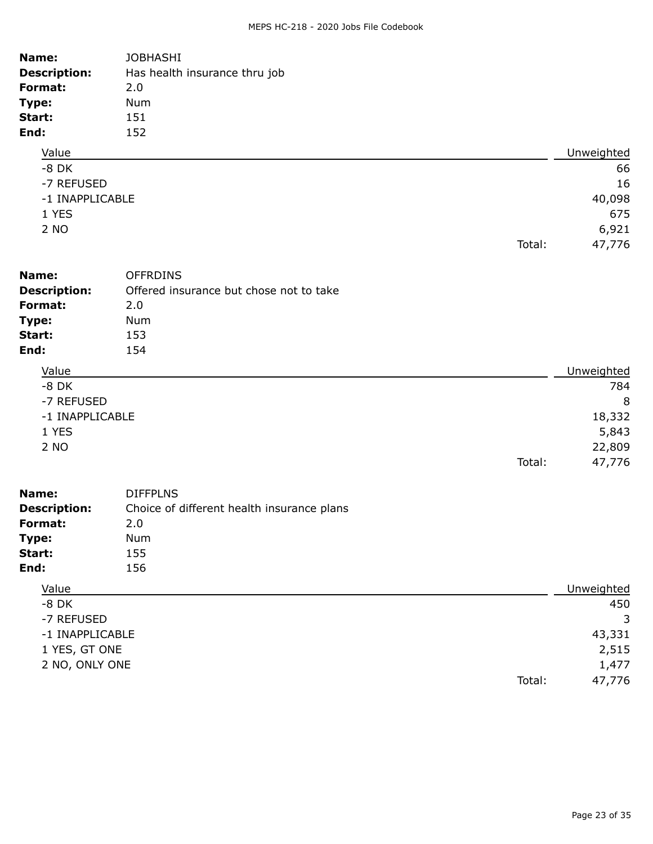| Name:<br><b>Description:</b><br>Format:<br>Type:<br>Start:<br>End:          | <b>JOBHASHI</b><br>Has health insurance thru job<br>2.0<br>Num<br>151<br>152           |        |                                                 |
|-----------------------------------------------------------------------------|----------------------------------------------------------------------------------------|--------|-------------------------------------------------|
| Value                                                                       |                                                                                        |        | Unweighted                                      |
| $-8$ DK<br>-7 REFUSED<br>-1 INAPPLICABLE<br>1 YES<br>2 NO                   |                                                                                        |        | 66<br>16<br>40,098<br>675<br>6,921              |
|                                                                             |                                                                                        | Total: | 47,776                                          |
| Name:<br><b>Description:</b><br>Format:<br>Type:<br>Start:<br>End:          | <b>OFFRDINS</b><br>Offered insurance but chose not to take<br>2.0<br>Num<br>153<br>154 |        |                                                 |
| Value                                                                       |                                                                                        |        | Unweighted                                      |
| $-8$ DK<br>-7 REFUSED<br>-1 INAPPLICABLE<br>1 YES<br>2 NO                   |                                                                                        | Total: | 784<br>8<br>18,332<br>5,843<br>22,809<br>47,776 |
| Name:                                                                       | <b>DIFFPLNS</b>                                                                        |        |                                                 |
| <b>Description:</b><br>Format:<br>Type:<br>Start:<br>End:                   | Choice of different health insurance plans<br>2.0<br>Num<br>155<br>156                 |        |                                                 |
| Value                                                                       |                                                                                        |        | Unweighted                                      |
| $-8$ DK<br>-7 REFUSED<br>-1 INAPPLICABLE<br>1 YES, GT ONE<br>2 NO, ONLY ONE |                                                                                        | Total: | 450<br>3<br>43,331<br>2,515<br>1,477<br>47,776  |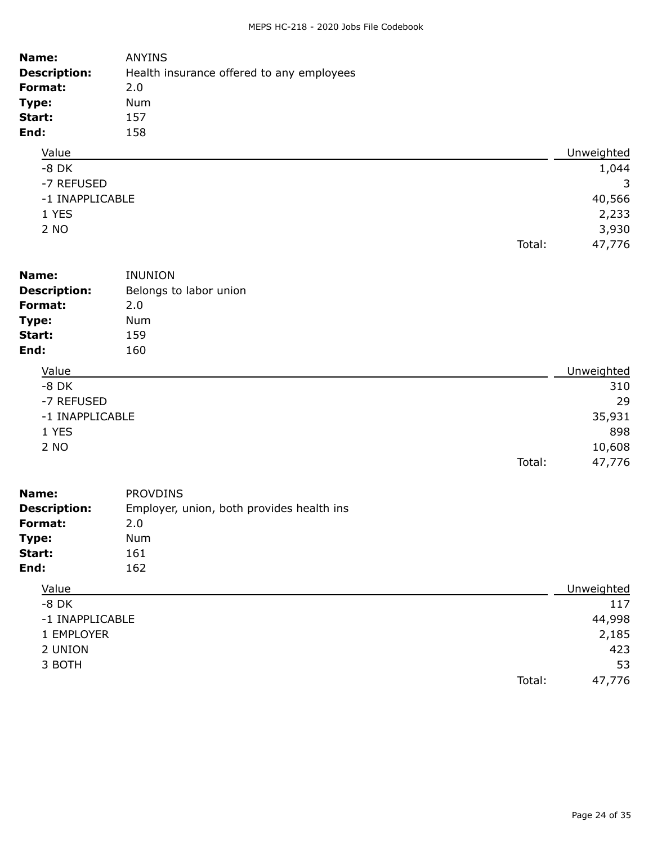| Name:               | <b>ANYINS</b>                             |        |            |
|---------------------|-------------------------------------------|--------|------------|
| <b>Description:</b> | Health insurance offered to any employees |        |            |
| Format:             | 2.0                                       |        |            |
| Type:               | <b>Num</b>                                |        |            |
| Start:              | 157                                       |        |            |
| End:                | 158                                       |        |            |
| Value               |                                           |        | Unweighted |
| $-8$ DK             |                                           |        | 1,044      |
| -7 REFUSED          |                                           |        | 3          |
| -1 INAPPLICABLE     |                                           |        | 40,566     |
| 1 YES               |                                           |        | 2,233      |
| 2 NO                |                                           |        | 3,930      |
|                     |                                           | Total: | 47,776     |
|                     |                                           |        |            |

| Name:                        | <b>INUNION</b>                                               |            |
|------------------------------|--------------------------------------------------------------|------------|
| <b>Description:</b>          | Belongs to labor union                                       |            |
| Format:                      | 2.0                                                          |            |
| Type:                        | <b>Num</b>                                                   |            |
| Start:                       | 159                                                          |            |
| End:                         | 160                                                          |            |
| Value                        |                                                              | Unweighted |
| $-8$ DK                      |                                                              | 310        |
| -7 REFUSED                   |                                                              | 29         |
| -1 INAPPLICABLE              |                                                              | 35,931     |
| 1 YES                        |                                                              | 898        |
| 2 NO                         |                                                              | 10,608     |
|                              | Total:                                                       | 47,776     |
| Name:<br><b>Description:</b> | <b>PROVDINS</b><br>Employer, union, both provides health ins |            |

| Description:    | Employer, union, both provides health ins |        |            |
|-----------------|-------------------------------------------|--------|------------|
| Format:         | 2.0                                       |        |            |
| Type:           | Num                                       |        |            |
| Start:          | 161                                       |        |            |
| End:            | 162                                       |        |            |
| Value           |                                           |        | Unweighted |
| $-8$ DK         |                                           |        | 117        |
| -1 INAPPLICABLE |                                           |        | 44,998     |
| 1 EMPLOYER      |                                           |        | 2,185      |
| 2 UNION         |                                           |        | 423        |
| 3 BOTH          |                                           |        | 53         |
|                 |                                           | Total: | 47,776     |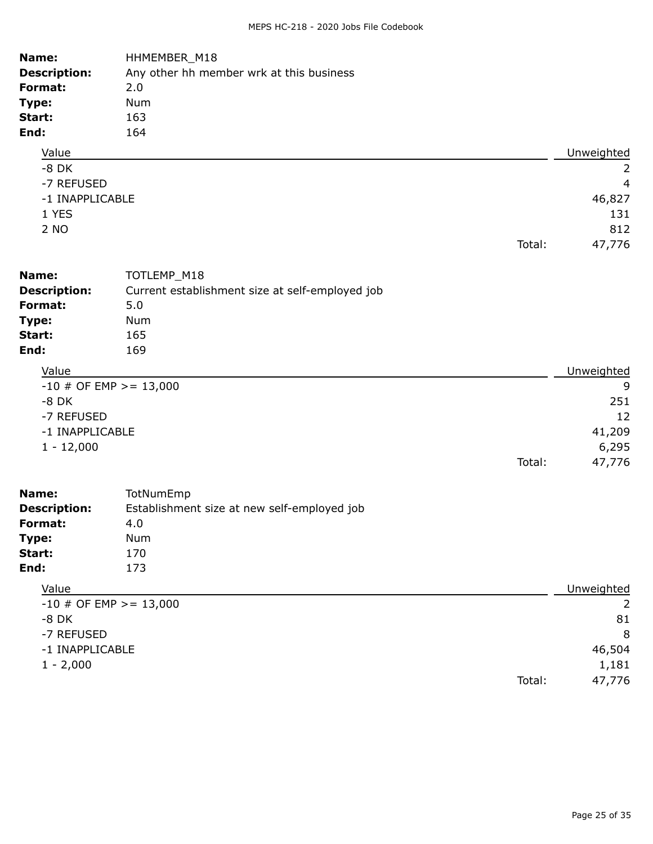| Name:<br><b>Description:</b><br>Format:<br>Type:<br>Start:<br>End:                    | HHMEMBER_M18<br>Any other hh member wrk at this business<br>2.0<br>Num<br>163<br>164 |        |                                             |
|---------------------------------------------------------------------------------------|--------------------------------------------------------------------------------------|--------|---------------------------------------------|
| Value                                                                                 |                                                                                      |        | Unweighted                                  |
| $-8$ DK<br>-7 REFUSED<br>-1 INAPPLICABLE<br>1 YES<br>2 NO                             |                                                                                      | Total: | 2<br>4<br>46,827<br>131<br>812<br>47,776    |
| Name:                                                                                 | TOTLEMP_M18                                                                          |        |                                             |
| <b>Description:</b>                                                                   | Current establishment size at self-employed job                                      |        |                                             |
| Format:                                                                               | 5.0                                                                                  |        |                                             |
| Type:                                                                                 | Num                                                                                  |        |                                             |
| Start:                                                                                | 165                                                                                  |        |                                             |
| End:                                                                                  | 169                                                                                  |        |                                             |
| Value                                                                                 |                                                                                      |        | Unweighted                                  |
| $-10$ # OF EMP > = 13,000<br>$-8$ DK<br>-7 REFUSED<br>-1 INAPPLICABLE<br>$1 - 12,000$ |                                                                                      | Total: | 9<br>251<br>12<br>41,209<br>6,295<br>47,776 |
|                                                                                       |                                                                                      |        |                                             |
| Name:<br><b>Description:</b><br>Format:<br>Type:<br>Start:<br>End:                    | TotNumEmp<br>Establishment size at new self-employed job<br>4.0<br>Num<br>170<br>173 |        |                                             |
| Value                                                                                 |                                                                                      |        | Unweighted                                  |
| $-10$ # OF EMP >= 13,000<br>$-8$ DK<br>-7 REFUSED<br>-1 INAPPLICABLE<br>$1 - 2,000$   |                                                                                      |        | 2<br>81<br>8<br>46,504<br>1,181             |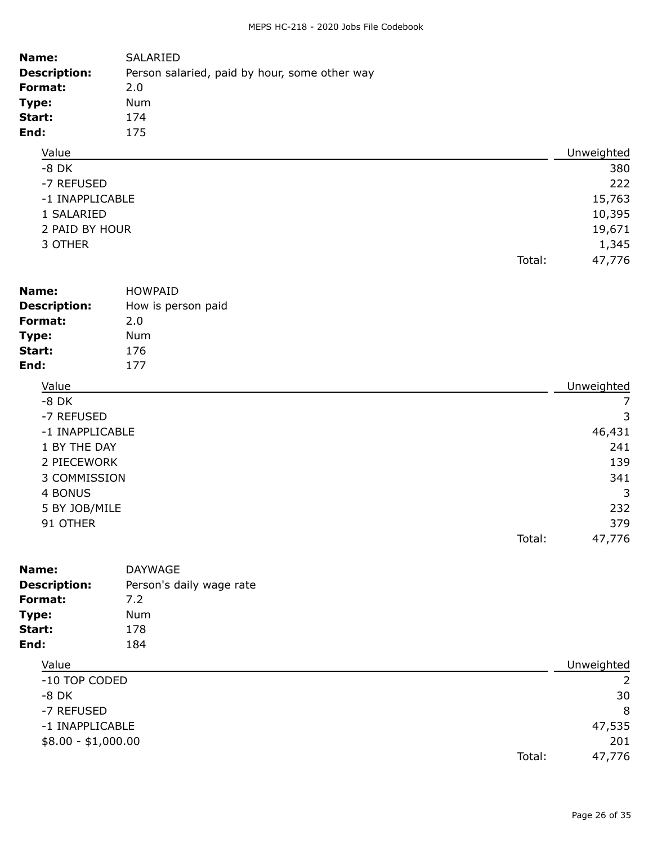| Name:               | SALARIED                                      |            |
|---------------------|-----------------------------------------------|------------|
| <b>Description:</b> | Person salaried, paid by hour, some other way |            |
| Format:             | 2.0                                           |            |
| Type:               | Num                                           |            |
| Start:              | 174                                           |            |
| End:                | 175                                           |            |
| Value               |                                               | Unweighted |
| $-8$ DK             |                                               | 380        |
| -7 REFUSED          |                                               | 222        |
| -1 INAPPLICABLE     |                                               | 15,763     |
| 1 SAI ARTED         |                                               | 10 395     |

| SALARIED       | 10,395 |
|----------------|--------|
| 2 PAID BY HOUR | 19,671 |

| 3 OTHER | 1,345 |
|---------|-------|
|---------|-------|

| Name:               | <b>HOWPAID</b>     |                    |
|---------------------|--------------------|--------------------|
| <b>Description:</b> | How is person paid |                    |
| Format:             | 2.0                |                    |
| Type:               | Num                |                    |
| Start:              | 176                |                    |
| End:                | 177                |                    |
| ۱/۵۱۱۵              |                    | <b>Llnwaighted</b> |

| Value           |        | Unweighted |
|-----------------|--------|------------|
| $-8$ DK         |        | 7          |
| -7 REFUSED      |        | 3          |
| -1 INAPPLICABLE |        | 46,431     |
| 1 BY THE DAY    |        | 241        |
| 2 PIECEWORK     |        | 139        |
| 3 COMMISSION    |        | 341        |
| 4 BONUS         |        | 3          |
| 5 BY JOB/MILE   |        | 232        |
| 91 OTHER        |        | 379        |
|                 | Total: | 47,776     |

| Name:               | <b>DAYWAGE</b>           |        |            |
|---------------------|--------------------------|--------|------------|
| <b>Description:</b> | Person's daily wage rate |        |            |
| Format:             | 7.2                      |        |            |
| Type:               | <b>Num</b>               |        |            |
| Start:              | 178                      |        |            |
| End:                | 184                      |        |            |
| Value               |                          |        | Unweighted |
| -10 TOP CODED       |                          |        | 2          |
| $-8$ DK             |                          |        | 30         |
| -7 REFUSED          |                          |        | 8          |
| -1 INAPPLICABLE     |                          |        | 47,535     |
| $$8.00 - $1,000.00$ |                          |        | 201        |
|                     |                          | Total: | 47,776     |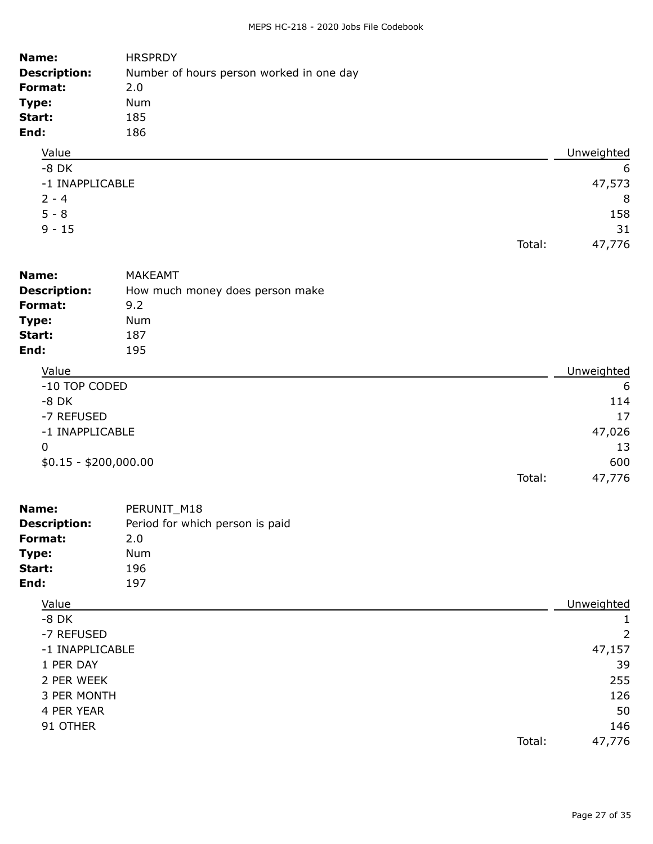| Name:               | <b>HRSPRDY</b>                           |            |
|---------------------|------------------------------------------|------------|
| <b>Description:</b> | Number of hours person worked in one day |            |
| Format:             | 2.0                                      |            |
| Type:               | <b>Num</b>                               |            |
| Start:              | 185                                      |            |
| End:                | 186                                      |            |
| Value               |                                          | Unweighted |
| $-8$ DK             |                                          | -6         |
| -1 INAPPLICABLE     |                                          | 47,573     |
| $2 - 4$             |                                          | 8          |
| $5 - 8$             |                                          | 158        |
| $9 - 15$            |                                          | 31         |
|                     | Total:                                   | 47,776     |
|                     |                                          |            |

| Name:               | <b>MAKEAMT</b>                  |            |
|---------------------|---------------------------------|------------|
| <b>Description:</b> | How much money does person make |            |
| Format:             | 9.2                             |            |
| Type:               | Num                             |            |
| Start:              | 187                             |            |
| End:                | 195                             |            |
| Value               |                                 | Unweighted |
| -10 TOP CODED       |                                 | 6          |
| $-8$ DK             |                                 | 114        |
| -7 REFUSED          |                                 | 17         |
| -1 INAPPLICABLE     |                                 | 47,026     |

|                       |        | 13     |
|-----------------------|--------|--------|
| \$0.15 - \$200,000.00 |        | 600    |
|                       | Total: | 47,776 |

| Name:               | PERUNIT M18                     |
|---------------------|---------------------------------|
| <b>Description:</b> | Period for which person is paid |
| Format:             | 2.0                             |
| Type:               | Num                             |
| Start:              | 196                             |
| End:                | 197                             |

## Value **Value** Unweighted

| $-8$ DK         |                |
|-----------------|----------------|
| -7 REFUSED      | $\overline{2}$ |
| -1 INAPPLICABLE | 47,157         |
| 1 PER DAY       | 39             |
| 2 PER WEEK      | 255            |
| 3 PER MONTH     | 126            |
| 4 PER YEAR      | 50             |
| 91 OTHER        | 146            |
| Total:          | 47,776         |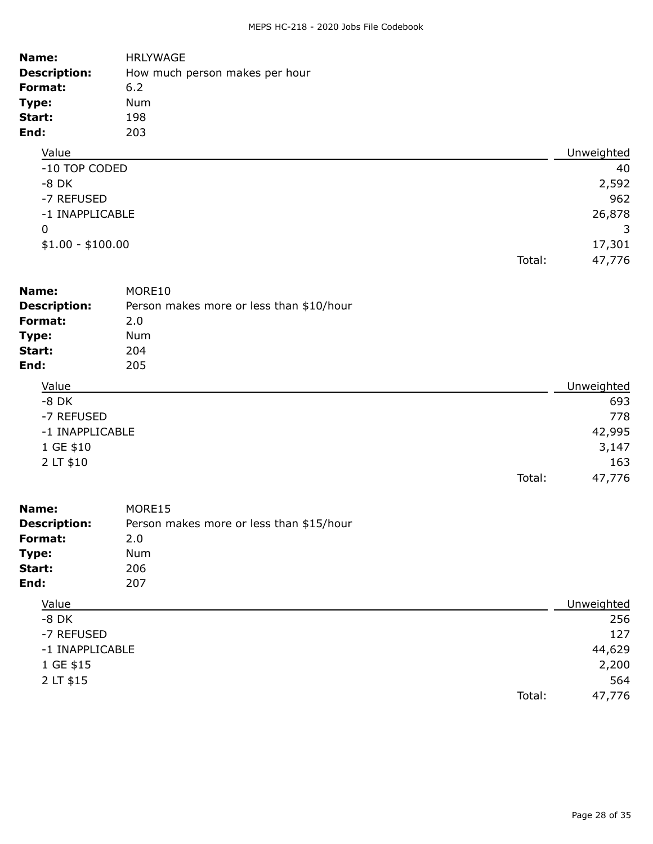| Name:               | <b>HRLYWAGE</b>                |        |            |
|---------------------|--------------------------------|--------|------------|
| <b>Description:</b> | How much person makes per hour |        |            |
| Format:             | 6.2                            |        |            |
| Type:               | <b>Num</b>                     |        |            |
| Start:              | 198                            |        |            |
| End:                | 203                            |        |            |
| Value               |                                |        | Unweighted |
| -10 TOP CODED       |                                |        | 40         |
| $-8$ DK             |                                |        | 2,592      |
| -7 REFUSED          |                                |        | 962        |
| -1 INAPPLICABLE     |                                |        | 26,878     |
| $\mathbf 0$         |                                |        | 3          |
| $$1.00 - $100.00$   |                                |        | 17,301     |
|                     |                                | Total: | 47,776     |

| Name:               | MORE10                                   |            |
|---------------------|------------------------------------------|------------|
| <b>Description:</b> | Person makes more or less than \$10/hour |            |
| Format:             | 2.0                                      |            |
| Type:               | Num                                      |            |
| Start:              | 204                                      |            |
| End:                | 205                                      |            |
| Value               |                                          | Unweighted |
| $-8$ DK             |                                          | 693        |
| -7 REFUSED          |                                          | 778        |
| -1 INAPPLICABLE     |                                          | 42,995     |
| 1 GE \$10           |                                          | 3,147      |
|                     |                                          |            |

| 2 LT \$10           |                                          |        | 163    |
|---------------------|------------------------------------------|--------|--------|
|                     |                                          | Total: | 47.776 |
| Name:               | MORE15                                   |        |        |
| <b>Description:</b> | Person makes more or less than \$15/hour |        |        |

|                 | $1.3011$ manes more or ress and the stage of |        |            |
|-----------------|----------------------------------------------|--------|------------|
| Format:         | 2.0                                          |        |            |
| Type:           | Num                                          |        |            |
| Start:          | 206                                          |        |            |
| End:            | 207                                          |        |            |
| Value           |                                              |        | Unweighted |
| $-8$ DK         |                                              |        | 256        |
| -7 REFUSED      |                                              |        | 127        |
| -1 INAPPLICABLE |                                              |        | 44,629     |
| 1 GE \$15       |                                              |        | 2,200      |
| 2 LT \$15       |                                              |        | 564        |
|                 |                                              | Total: | 47,776     |
|                 |                                              |        |            |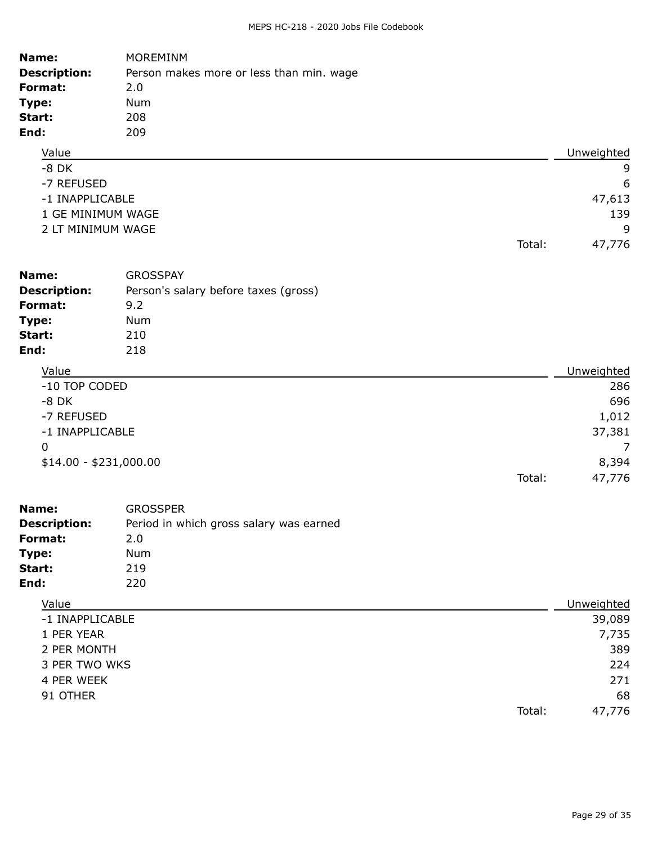| Name:               | <b>MOREMINM</b>                          |            |
|---------------------|------------------------------------------|------------|
| <b>Description:</b> | Person makes more or less than min. wage |            |
| Format:             | 2.0                                      |            |
| Type:               | Num                                      |            |
| Start:              | 208                                      |            |
| End:                | 209                                      |            |
| Value               |                                          | Unweighted |
| $-8$ DK             |                                          | 9          |
| -7 REFUSED          |                                          | 6          |
| -1 INAPPLICABLE     |                                          | 47,613     |
| 1 GE MINIMUM WAGE   |                                          | 139        |
| 2 LT MINIMUM WAGE   |                                          | 9          |
|                     | Total:                                   | 47,776     |

| Name:                  | <b>GROSSPAY</b>                      |                  |
|------------------------|--------------------------------------|------------------|
| <b>Description:</b>    | Person's salary before taxes (gross) |                  |
| Format:                | 9.2                                  |                  |
| Type:                  | Num                                  |                  |
| Start:                 | 210                                  |                  |
| End:                   | 218                                  |                  |
| Value                  |                                      | Unweighted       |
| -10 TOP CODED          |                                      | 286              |
| $-8$ DK                |                                      | 696              |
| -7 REFUSED             |                                      | 1,012            |
| -1 INAPPLICABLE        |                                      | 37,381           |
| 0                      |                                      | 7                |
| $$14.00 - $231,000.00$ |                                      | 8,394            |
|                        |                                      | 47,776<br>Total: |

| Name:               | <b>GROSSPER</b>                         |
|---------------------|-----------------------------------------|
| <b>Description:</b> | Period in which gross salary was earned |
| Format:             | 2.0                                     |
| Type:               | Num                                     |
| Start:              | 219                                     |
| End:                | 220                                     |
|                     |                                         |

## Value **Value** Unweighted

| -1 INAPPLICABLE |        | 39,089 |
|-----------------|--------|--------|
| 1 PER YEAR      |        | 7,735  |
| 2 PER MONTH     |        | 389    |
| 3 PER TWO WKS   |        | 224    |
| 4 PER WEEK      |        | 271    |
| 91 OTHER        |        | 68     |
|                 | Total: | 47,776 |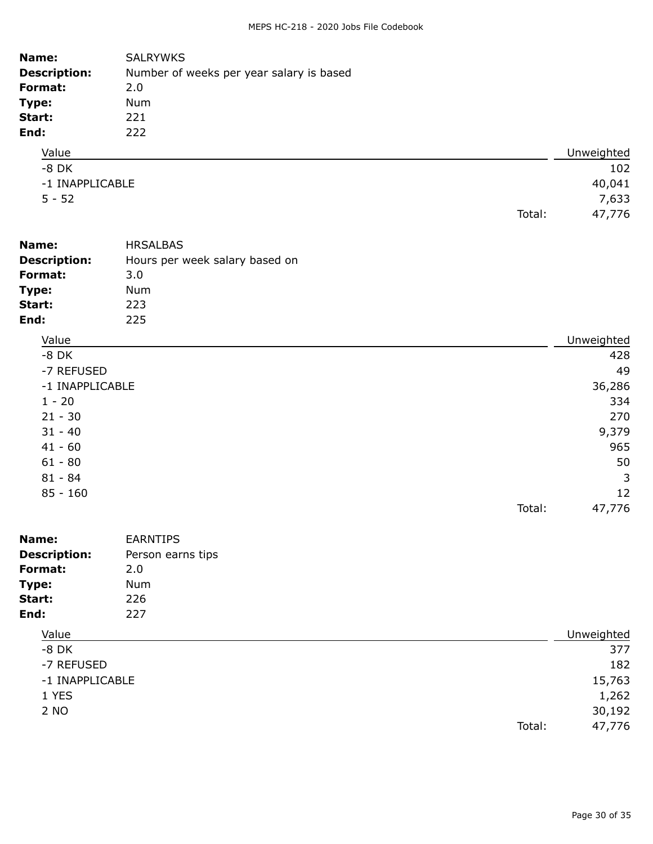| Name:               | <b>SALRYWKS</b>                          |        |            |
|---------------------|------------------------------------------|--------|------------|
| <b>Description:</b> | Number of weeks per year salary is based |        |            |
| Format:             | 2.0                                      |        |            |
| Type:               | Num                                      |        |            |
| Start:              | 221                                      |        |            |
| End:                | 222                                      |        |            |
| Value               |                                          |        | Unweighted |
| $-8$ DK             |                                          |        | 102        |
| -1 INAPPLICABLE     |                                          |        | 40,041     |
| $5 - 52$            |                                          |        | 7,633      |
|                     |                                          | Total: | 47,776     |
| Name:               | <b>HRSALBAS</b>                          |        |            |
| <b>Description:</b> | Hours per week salary based on           |        |            |
| Format:             | 3.0                                      |        |            |
| Type:               | <b>Num</b>                               |        |            |
| Start:              | 223                                      |        |            |

| Value           | Unweighted       |
|-----------------|------------------|
| $-8$ DK         | 428              |
| -7 REFUSED      | 49               |
| -1 INAPPLICABLE | 36,286           |
| $1 - 20$        | 334              |
| $21 - 30$       | 270              |
| $31 - 40$       | 9,379            |
| $41 - 60$       | 965              |
| $61 - 80$       | 50               |
| $81 - 84$       | 3                |
| $85 - 160$      | 12               |
|                 | Total:<br>47,776 |

**End:** 225

| Name:               | <b>EARNTIPS</b>   |        |            |
|---------------------|-------------------|--------|------------|
| <b>Description:</b> | Person earns tips |        |            |
| Format:             | 2.0               |        |            |
| Type:               | <b>Num</b>        |        |            |
| Start:              | 226               |        |            |
| End:                | 227               |        |            |
| Value               |                   |        | Unweighted |
| $-8$ DK             |                   |        | 377        |
| -7 REFUSED          |                   |        | 182        |
| -1 INAPPLICABLE     |                   |        | 15,763     |
| 1 YES               |                   |        | 1,262      |
| 2 NO                |                   |        | 30,192     |
|                     |                   | Total: | 47,776     |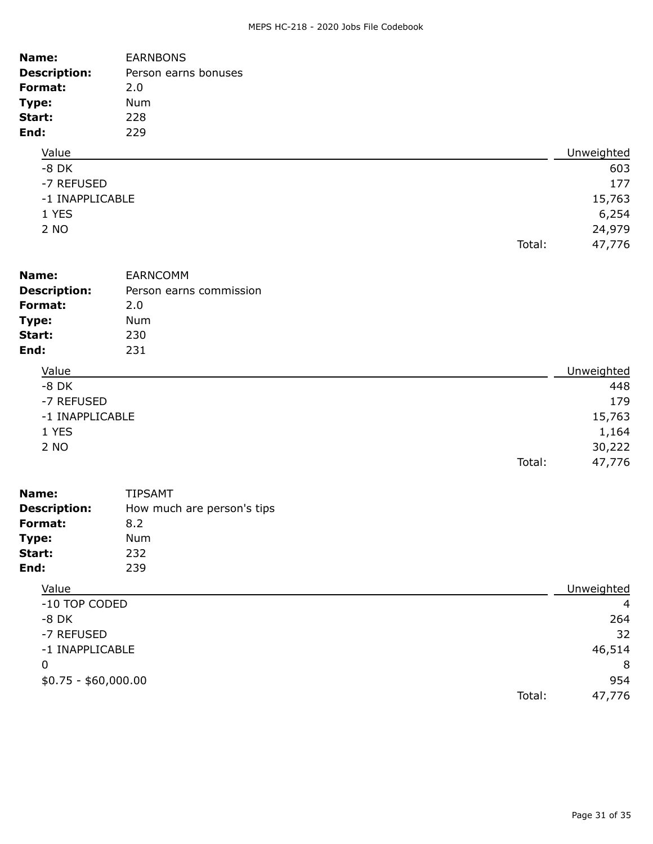| Name:<br><b>Description:</b><br>Format:<br>Type:<br>Start:<br>End: | <b>EARNBONS</b><br>Person earns bonuses<br>2.0<br>Num<br>228<br>229 |        |                                                   |
|--------------------------------------------------------------------|---------------------------------------------------------------------|--------|---------------------------------------------------|
| Value                                                              |                                                                     |        | Unweighted                                        |
| $-8$ DK<br>-7 REFUSED<br>-1 INAPPLICABLE<br>1 YES<br>2 NO          |                                                                     | Total: | 603<br>177<br>15,763<br>6,254<br>24,979<br>47,776 |
| Name:                                                              | <b>EARNCOMM</b>                                                     |        |                                                   |
| <b>Description:</b>                                                | Person earns commission                                             |        |                                                   |
| Format:                                                            | 2.0                                                                 |        |                                                   |
| Type:                                                              | Num                                                                 |        |                                                   |
| Start:                                                             | 230                                                                 |        |                                                   |
| End:                                                               | 231                                                                 |        |                                                   |
| Value                                                              |                                                                     |        | Unweighted                                        |
| $-8$ DK                                                            |                                                                     |        | 448                                               |
| -7 REFUSED                                                         |                                                                     |        | 179                                               |
| -1 INAPPLICABLE                                                    |                                                                     |        | 15,763                                            |
| 1 YES                                                              |                                                                     |        | 1,164                                             |
| 2 NO                                                               |                                                                     | Total: | 30,222<br>47,776                                  |
| Name:                                                              | <b>TIPSAMT</b>                                                      |        |                                                   |
| <b>Description:</b>                                                | How much are person's tips                                          |        |                                                   |
| Format:                                                            | 8.2                                                                 |        |                                                   |

| Start:        | 232             |                |
|---------------|-----------------|----------------|
| End:          | 239             |                |
| Value         |                 | Unweighted     |
| -10 TOP CODED |                 | $\overline{4}$ |
| $-8$ DK       |                 | 264            |
| -7 REFUSED    |                 | 32             |
|               | -1 INAPPLICABLE | 46,514         |

 $$0.75 - $60,000.00$  954

**Type:** Num

 $\sim$  8 Total: 47,776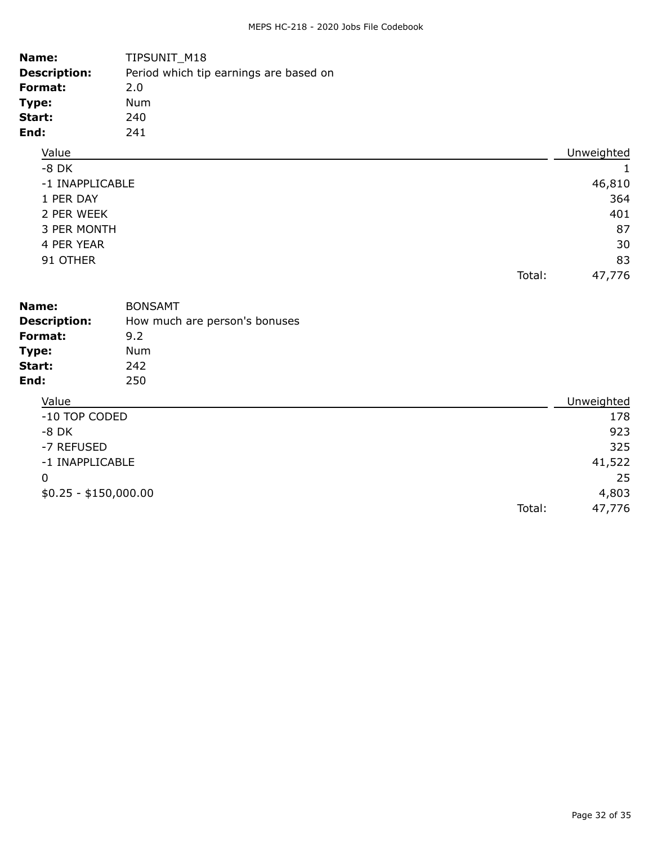| Name:<br><b>Description:</b><br><b>Format:</b><br>Type:<br>Start:<br>End:                                  | TIPSUNIT_M18<br>Period which tip earnings are based on<br>2.0<br>Num<br>240<br>241 |        |                                                                    |
|------------------------------------------------------------------------------------------------------------|------------------------------------------------------------------------------------|--------|--------------------------------------------------------------------|
| Value                                                                                                      |                                                                                    |        | Unweighted                                                         |
| $-8$ DK<br>-1 INAPPLICABLE<br>1 PER DAY<br>2 PER WEEK<br>3 PER MONTH<br>4 PER YEAR<br>91 OTHER             |                                                                                    |        | 1<br>46,810<br>364<br>401<br>87<br>30<br>83                        |
|                                                                                                            |                                                                                    | Total: | 47,776                                                             |
| Name:<br><b>Description:</b><br>Format:<br>Type:<br>Start:<br>End:                                         | <b>BONSAMT</b><br>How much are person's bonuses<br>9.2<br><b>Num</b><br>242<br>250 |        |                                                                    |
| Value<br>-10 TOP CODED<br>$-8$ DK<br>-7 REFUSED<br>-1 INAPPLICABLE<br>$\mathbf 0$<br>$$0.25 - $150,000.00$ |                                                                                    | Total: | Unweighted<br>178<br>923<br>325<br>41,522<br>25<br>4,803<br>47,776 |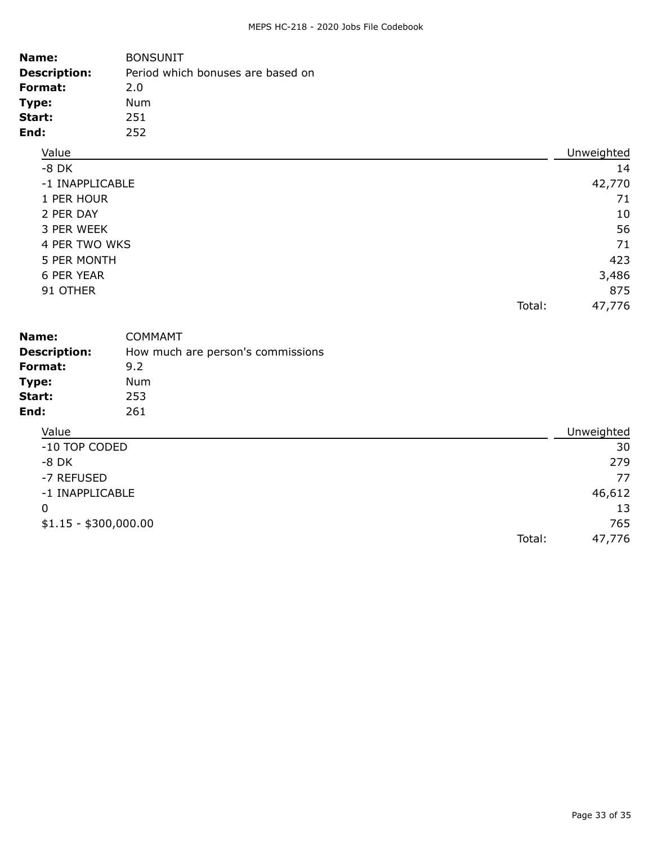| Name:<br><b>Description:</b><br>Format:<br>Type:<br>Start:<br>End:                                                                   | <b>BONSUNIT</b><br>Period which bonuses are based on<br>2.0<br>Num<br>251<br>252 |        |                                                                       |
|--------------------------------------------------------------------------------------------------------------------------------------|----------------------------------------------------------------------------------|--------|-----------------------------------------------------------------------|
| Value                                                                                                                                |                                                                                  |        | Unweighted                                                            |
| $-8$ DK<br>-1 INAPPLICABLE<br>1 PER HOUR<br>2 PER DAY<br>3 PER WEEK<br>4 PER TWO WKS<br>5 PER MONTH<br><b>6 PER YEAR</b><br>91 OTHER |                                                                                  | Total: | 14<br>42,770<br>71<br>10<br>56<br>71<br>423<br>3,486<br>875<br>47,776 |
| Name:<br><b>Description:</b><br>Format:<br>Type:<br>Start:<br>End:                                                                   | <b>COMMAMT</b><br>How much are person's commissions<br>9.2<br>Num<br>253<br>261  |        |                                                                       |
| Value                                                                                                                                |                                                                                  |        | Unweighted                                                            |
| -10 TOP CODED<br>$-8$ DK<br>-7 REFUSED<br>-1 INAPPLICABLE<br>0<br>$$1.15 - $300,000.00$                                              |                                                                                  | Total: | 30<br>279<br>77<br>46,612<br>13<br>765<br>47,776                      |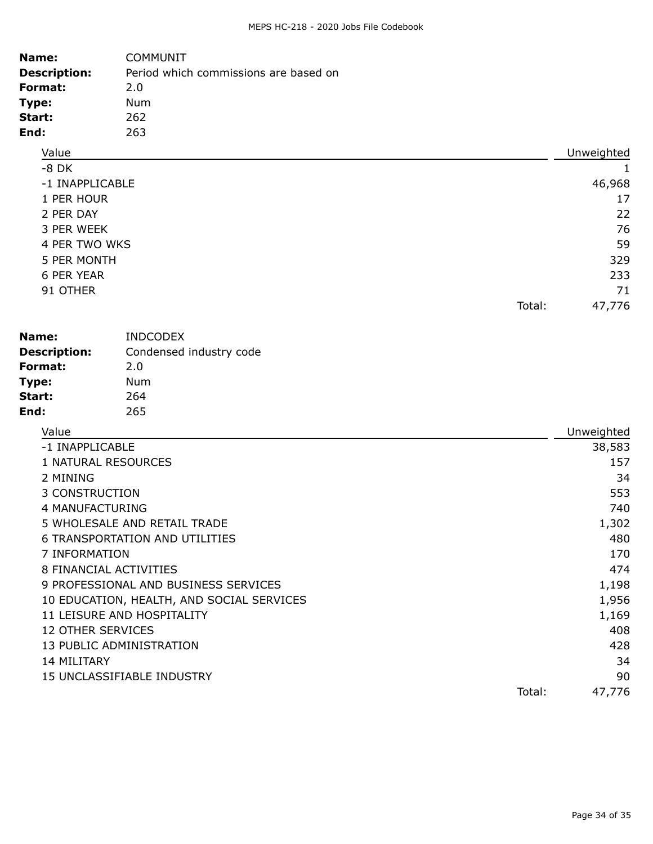| Name:                    | <b>COMMUNIT</b>                           |        |            |
|--------------------------|-------------------------------------------|--------|------------|
| <b>Description:</b>      | Period which commissions are based on     |        |            |
| Format:                  | 2.0                                       |        |            |
| Type:                    | <b>Num</b>                                |        |            |
| Start:                   | 262                                       |        |            |
| End:                     | 263                                       |        |            |
| Value                    |                                           |        | Unweighted |
| $-8$ DK                  |                                           |        | 1          |
| -1 INAPPLICABLE          |                                           |        | 46,968     |
| 1 PER HOUR               |                                           |        | 17         |
| 2 PER DAY                |                                           |        | 22         |
| 3 PER WEEK               |                                           |        | 76         |
| 4 PER TWO WKS            |                                           |        | 59         |
| 5 PER MONTH              |                                           |        | 329        |
| <b>6 PER YEAR</b>        |                                           |        | 233        |
| 91 OTHER                 |                                           |        | 71         |
|                          |                                           | Total: | 47,776     |
| Name:                    | <b>INDCODEX</b>                           |        |            |
| <b>Description:</b>      | Condensed industry code                   |        |            |
| Format:                  | 2.0                                       |        |            |
| Type:                    | <b>Num</b>                                |        |            |
| Start:                   | 264                                       |        |            |
| End:                     | 265                                       |        |            |
| Value                    |                                           |        | Unweighted |
| -1 INAPPLICABLE          |                                           |        | 38,583     |
|                          | 1 NATURAL RESOURCES                       |        | 157        |
| 2 MINING                 |                                           |        | 34         |
| 3 CONSTRUCTION           |                                           |        | 553        |
| 4 MANUFACTURING          |                                           |        | 740        |
|                          | 5 WHOLESALE AND RETAIL TRADE              |        | 1,302      |
|                          | <b>6 TRANSPORTATION AND UTILITIES</b>     |        | 480        |
| 7 INFORMATION            |                                           |        | 170        |
|                          | 8 FINANCIAL ACTIVITIES                    |        | 474        |
|                          | 9 PROFESSIONAL AND BUSINESS SERVICES      |        | 1,198      |
|                          | 10 EDUCATION, HEALTH, AND SOCIAL SERVICES |        | 1,956      |
|                          | 11 LEISURE AND HOSPITALITY                |        | 1,169      |
| <b>12 OTHER SERVICES</b> |                                           |        | 408        |
|                          | 13 PUBLIC ADMINISTRATION                  |        | 428        |
| 14 MILITARY              |                                           |        | 34         |
|                          | 15 UNCLASSIFIABLE INDUSTRY                |        | 90         |
|                          |                                           | Total: | 47,776     |